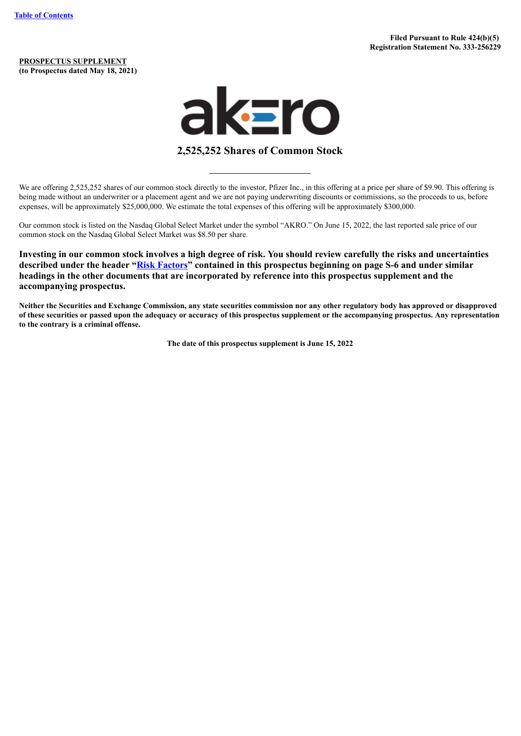**PROSPECTUS SUPPLEMENT (to Prospectus dated May 18, 2021)**



# **2,525,252 Shares of Common Stock**

We are offering 2,525,252 shares of our common stock directly to the investor, Pfizer Inc., in this offering at a price per share of \$9.90. This offering is being made without an underwriter or a placement agent and we are not paying underwriting discounts or commissions, so the proceeds to us, before expenses, will be approximately \$25,000,000. We estimate the total expenses of this offering will be approximately \$300,000.

Our common stock is listed on the Nasdaq Global Select Market under the symbol "AKRO." On June 15, 2022, the last reported sale price of our common stock on the Nasdaq Global Select Market was \$8.50 per share.

**Investing in our common stock involves a high degree of risk. You should review carefully the risks and uncertainties described under the header "Risk [Factors"](#page-7-0) contained in this prospectus beginning on page S-6 and under similar headings in the other documents that are incorporated by reference into this prospectus supplement and the accompanying prospectus.**

Neither the Securities and Exchange Commission, any state securities commission nor any other regulatory body has approved or disapproved of these securities or passed upon the adequacy or accuracy of this prospectus supplement or the accompanying prospectus. Any representation **to the contrary is a criminal offense.**

**The date of this prospectus supplement is June 15, 2022**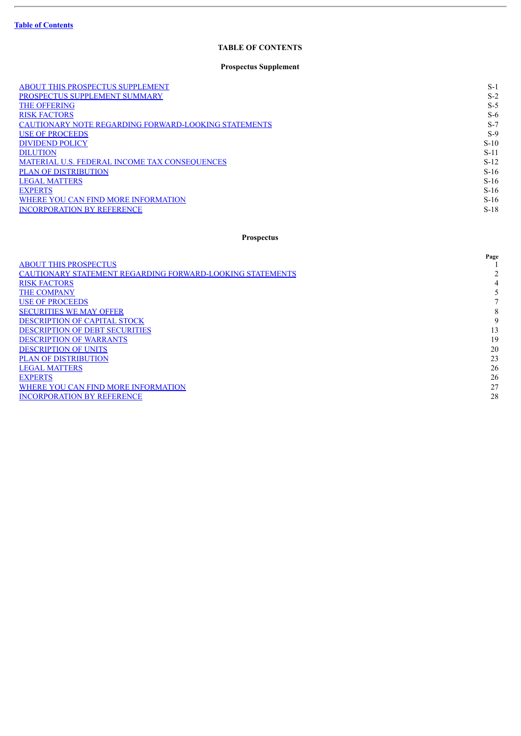ł.

# **TABLE OF CONTENTS**

# **Prospectus Supplement**

<span id="page-1-0"></span>

| <b>ABOUT THIS PROSPECTUS SUPPLEMENT</b>                     | $S-1$  |
|-------------------------------------------------------------|--------|
| PROSPECTUS SUPPLEMENT SUMMARY                               | $S-2$  |
| <b>THE OFFERING</b>                                         | $S-5$  |
| <b>RISK FACTORS</b>                                         | $S-6$  |
| <b>CAUTIONARY NOTE REGARDING FORWARD-LOOKING STATEMENTS</b> | $S-7$  |
| <b>USE OF PROCEEDS</b>                                      | $S-9$  |
| <b>DIVIDEND POLICY</b>                                      | $S-10$ |
| <b>DILUTION</b>                                             | $S-11$ |
| MATERIAL U.S. FEDERAL INCOME TAX CONSEQUENCES               | $S-12$ |
| <b>PLAN OF DISTRIBUTION</b>                                 | $S-16$ |
| <b>LEGAL MATTERS</b>                                        | $S-16$ |
| <b>EXPERTS</b>                                              | $S-16$ |
| WHERE YOU CAN FIND MORE INFORMATION                         | $S-16$ |
| <b>INCORPORATION BY REFERENCE</b>                           | $S-18$ |

# **Prospectus**

|                                                                  | Page |
|------------------------------------------------------------------|------|
| <b>ABOUT THIS PROSPECTUS</b>                                     |      |
| <b>CAUTIONARY STATEMENT REGARDING FORWARD-LOOKING STATEMENTS</b> |      |
| <b>RISK FACTORS</b>                                              | 4    |
| <b>THE COMPANY</b>                                               |      |
| <b>USE OF PROCEEDS</b>                                           |      |
| <b>SECURITIES WE MAY OFFER</b>                                   | 8    |
| <b>DESCRIPTION OF CAPITAL STOCK</b>                              | 9    |
| <b>DESCRIPTION OF DEBT SECURITIES</b>                            | 13   |
| <b>DESCRIPTION OF WARRANTS</b>                                   | 19   |
| <b>DESCRIPTION OF UNITS</b>                                      | 20   |
| <b>PLAN OF DISTRIBUTION</b>                                      | 23   |
| <b>LEGAL MATTERS</b>                                             | 26   |
| <b>EXPERTS</b>                                                   | 26   |
| WHERE YOU CAN FIND MORE INFORMATION                              | 27   |
| <b>INCORPORATION BY REFERENCE</b>                                | 28   |
|                                                                  |      |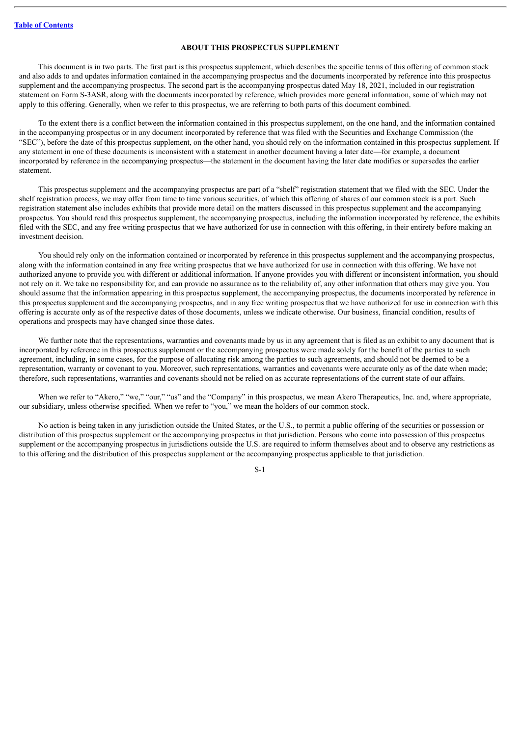# **ABOUT THIS PROSPECTUS SUPPLEMENT**

<span id="page-2-0"></span>This document is in two parts. The first part is this prospectus supplement, which describes the specific terms of this offering of common stock and also adds to and updates information contained in the accompanying prospectus and the documents incorporated by reference into this prospectus supplement and the accompanying prospectus. The second part is the accompanying prospectus dated May 18, 2021, included in our registration statement on Form S-3ASR, along with the documents incorporated by reference, which provides more general information, some of which may not apply to this offering. Generally, when we refer to this prospectus, we are referring to both parts of this document combined.

To the extent there is a conflict between the information contained in this prospectus supplement, on the one hand, and the information contained in the accompanying prospectus or in any document incorporated by reference that was filed with the Securities and Exchange Commission (the "SEC"), before the date of this prospectus supplement, on the other hand, you should rely on the information contained in this prospectus supplement. If any statement in one of these documents is inconsistent with a statement in another document having a later date—for example, a document incorporated by reference in the accompanying prospectus—the statement in the document having the later date modifies or supersedes the earlier statement.

This prospectus supplement and the accompanying prospectus are part of a "shelf" registration statement that we filed with the SEC. Under the shelf registration process, we may offer from time to time various securities, of which this offering of shares of our common stock is a part. Such registration statement also includes exhibits that provide more detail on the matters discussed in this prospectus supplement and the accompanying prospectus. You should read this prospectus supplement, the accompanying prospectus, including the information incorporated by reference, the exhibits filed with the SEC, and any free writing prospectus that we have authorized for use in connection with this offering, in their entirety before making an investment decision.

You should rely only on the information contained or incorporated by reference in this prospectus supplement and the accompanying prospectus, along with the information contained in any free writing prospectus that we have authorized for use in connection with this offering. We have not authorized anyone to provide you with different or additional information. If anyone provides you with different or inconsistent information, you should not rely on it. We take no responsibility for, and can provide no assurance as to the reliability of, any other information that others may give you. You should assume that the information appearing in this prospectus supplement, the accompanying prospectus, the documents incorporated by reference in this prospectus supplement and the accompanying prospectus, and in any free writing prospectus that we have authorized for use in connection with this offering is accurate only as of the respective dates of those documents, unless we indicate otherwise. Our business, financial condition, results of operations and prospects may have changed since those dates.

We further note that the representations, warranties and covenants made by us in any agreement that is filed as an exhibit to any document that is incorporated by reference in this prospectus supplement or the accompanying prospectus were made solely for the benefit of the parties to such agreement, including, in some cases, for the purpose of allocating risk among the parties to such agreements, and should not be deemed to be a representation, warranty or covenant to you. Moreover, such representations, warranties and covenants were accurate only as of the date when made; therefore, such representations, warranties and covenants should not be relied on as accurate representations of the current state of our affairs.

When we refer to "Akero," "we," "our," "us" and the "Company" in this prospectus, we mean Akero Therapeutics, Inc. and, where appropriate, our subsidiary, unless otherwise specified. When we refer to "you," we mean the holders of our common stock.

No action is being taken in any jurisdiction outside the United States, or the U.S., to permit a public offering of the securities or possession or distribution of this prospectus supplement or the accompanying prospectus in that jurisdiction. Persons who come into possession of this prospectus supplement or the accompanying prospectus in jurisdictions outside the U.S. are required to inform themselves about and to observe any restrictions as to this offering and the distribution of this prospectus supplement or the accompanying prospectus applicable to that jurisdiction.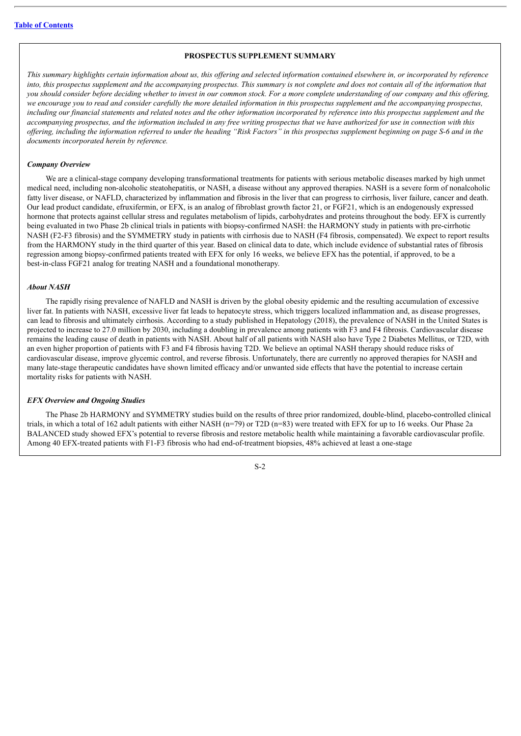# **PROSPECTUS SUPPLEMENT SUMMARY**

<span id="page-3-0"></span>This summary highlights certain information about us, this offering and selected information contained elsewhere in, or incorporated by reference into, this prospectus supplement and the accompanying prospectus. This summary is not complete and does not contain all of the information that you should consider before deciding whether to invest in our common stock. For a more complete understanding of our company and this offering, we encourage you to read and consider carefully the more detailed information in this prospectus supplement and the accompanying prospectus. including our financial statements and related notes and the other information incorporated by reference into this prospectus supplement and the accompanying prospectus, and the information included in any free writing prospectus that we have authorized for use in connection with this offering, including the information referred to under the heading "Risk Factors" in this prospectus supplement beginning on page S-6 and in the *documents incorporated herein by reference.*

### *Company Overview*

We are a clinical-stage company developing transformational treatments for patients with serious metabolic diseases marked by high unmet medical need, including non-alcoholic steatohepatitis, or NASH, a disease without any approved therapies. NASH is a severe form of nonalcoholic fatty liver disease, or NAFLD, characterized by inflammation and fibrosis in the liver that can progress to cirrhosis, liver failure, cancer and death. Our lead product candidate, efruxifermin, or EFX, is an analog of fibroblast growth factor 21, or FGF21, which is an endogenously expressed hormone that protects against cellular stress and regulates metabolism of lipids, carbohydrates and proteins throughout the body. EFX is currently being evaluated in two Phase 2b clinical trials in patients with biopsy-confirmed NASH: the HARMONY study in patients with pre-cirrhotic NASH (F2-F3 fibrosis) and the SYMMETRY study in patients with cirrhosis due to NASH (F4 fibrosis, compensated). We expect to report results from the HARMONY study in the third quarter of this year. Based on clinical data to date, which include evidence of substantial rates of fibrosis regression among biopsy-confirmed patients treated with EFX for only 16 weeks, we believe EFX has the potential, if approved, to be a best-in-class FGF21 analog for treating NASH and a foundational monotherapy.

#### *About NASH*

The rapidly rising prevalence of NAFLD and NASH is driven by the global obesity epidemic and the resulting accumulation of excessive liver fat. In patients with NASH, excessive liver fat leads to hepatocyte stress, which triggers localized inflammation and, as disease progresses, can lead to fibrosis and ultimately cirrhosis. According to a study published in Hepatology (2018), the prevalence of NASH in the United States is projected to increase to 27.0 million by 2030, including a doubling in prevalence among patients with F3 and F4 fibrosis. Cardiovascular disease remains the leading cause of death in patients with NASH. About half of all patients with NASH also have Type 2 Diabetes Mellitus, or T2D, with an even higher proportion of patients with F3 and F4 fibrosis having T2D. We believe an optimal NASH therapy should reduce risks of cardiovascular disease, improve glycemic control, and reverse fibrosis. Unfortunately, there are currently no approved therapies for NASH and many late-stage therapeutic candidates have shown limited efficacy and/or unwanted side effects that have the potential to increase certain mortality risks for patients with NASH.

### *EFX Overview and Ongoing Studies*

The Phase 2b HARMONY and SYMMETRY studies build on the results of three prior randomized, double-blind, placebo-controlled clinical trials, in which a total of 162 adult patients with either NASH (n=79) or T2D (n=83) were treated with EFX for up to 16 weeks. Our Phase 2a BALANCED study showed EFX's potential to reverse fibrosis and restore metabolic health while maintaining a favorable cardiovascular profile. Among 40 EFX-treated patients with F1-F3 fibrosis who had end-of-treatment biopsies, 48% achieved at least a one-stage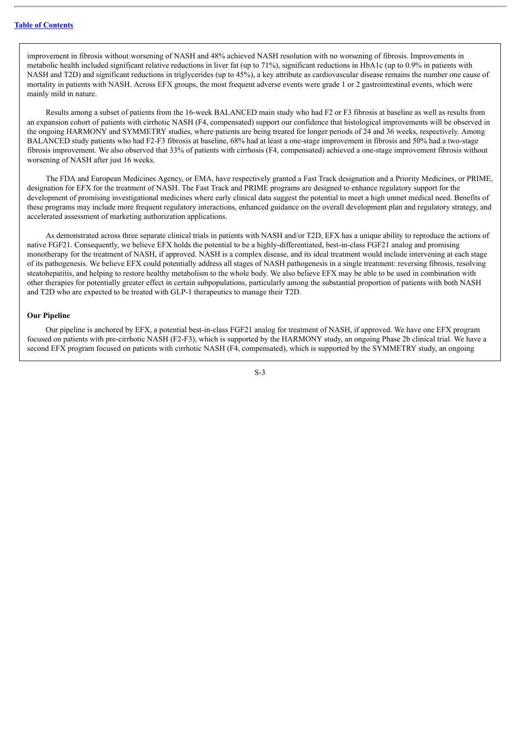improvement in fibrosis without worsening of NASH and 48% achieved NASH resolution with no worsening of fibrosis. Improvements in metabolic health included significant relative reductions in liver fat (up to 71%), significant reductions in HbA1c (up to 0.9% in patients with NASH and T2D) and significant reductions in triglycerides (up to 45%), a key attribute as cardiovascular disease remains the number one cause of mortality in patients with NASH. Across EFX groups, the most frequent adverse events were grade 1 or 2 gastrointestinal events, which were mainly mild in nature.

Results among a subset of patients from the 16-week BALANCED main study who had F2 or F3 fibrosis at baseline as well as results from an expansion cohort of patients with cirrhotic NASH (F4, compensated) support our confidence that histological improvements will be observed in the ongoing HARMONY and SYMMETRY studies, where patients are being treated for longer periods of 24 and 36 weeks, respectively. Among BALANCED study patients who had F2-F3 fibrosis at baseline, 68% had at least a one-stage improvement in fibrosis and 50% had a two-stage fibrosis improvement. We also observed that 33% of patients with cirrhosis (F4, compensated) achieved a one-stage improvement fibrosis without worsening of NASH after just 16 weeks.

The FDA and European Medicines Agency, or EMA, have respectively granted a Fast Track designation and a Priority Medicines, or PRIME, designation for EFX for the treatment of NASH. The Fast Track and PRIME programs are designed to enhance regulatory support for the development of promising investigational medicines where early clinical data suggest the potential to meet a high unmet medical need. Benefits of these programs may include more frequent regulatory interactions, enhanced guidance on the overall development plan and regulatory strategy, and accelerated assessment of marketing authorization applications.

As demonstrated across three separate clinical trials in patients with NASH and/or T2D, EFX has a unique ability to reproduce the actions of native FGF21. Consequently, we believe EFX holds the potential to be a highly-differentiated, best-in-class FGF21 analog and promising monotherapy for the treatment of NASH, if approved. NASH is a complex disease, and its ideal treatment would include intervening at each stage of its pathogenesis. We believe EFX could potentially address all stages of NASH pathogenesis in a single treatment: reversing fibrosis, resolving steatohepatitis, and helping to restore healthy metabolism to the whole body. We also believe EFX may be able to be used in combination with other therapies for potentially greater effect in certain subpopulations, particularly among the substantial proportion of patients with both NASH and T2D who are expected to be treated with GLP-1 therapeutics to manage their T2D.

#### **Our Pipeline**

Our pipeline is anchored by EFX, a potential best-in-class FGF21 analog for treatment of NASH, if approved. We have one EFX program focused on patients with pre-cirrhotic NASH (F2-F3), which is supported by the HARMONY study, an ongoing Phase 2b clinical trial. We have a second EFX program focused on patients with cirrhotic NASH (F4, compensated), which is supported by the SYMMETRY study, an ongoing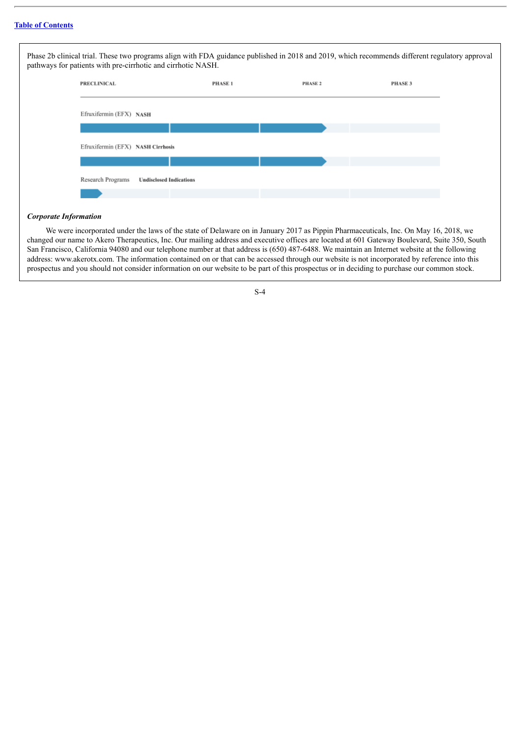| <b>PRECLINICAL</b>                | <b>PHASE1</b> | PHASE 2 | PHASE 3 |
|-----------------------------------|---------------|---------|---------|
| Efruxifermin (EFX) NASH           |               |         |         |
|                                   |               |         |         |
| Efruxifermin (EFX) NASH Cirrhosis |               |         |         |
|                                   |               |         |         |

# *Corporate Information*

We were incorporated under the laws of the state of Delaware on in January 2017 as Pippin Pharmaceuticals, Inc. On May 16, 2018, we changed our name to Akero Therapeutics, Inc. Our mailing address and executive offices are located at 601 Gateway Boulevard, Suite 350, South San Francisco, California 94080 and our telephone number at that address is (650) 487-6488. We maintain an Internet website at the following address: www.akerotx.com. The information contained on or that can be accessed through our website is not incorporated by reference into this prospectus and you should not consider information on our website to be part of this prospectus or in deciding to purchase our common stock.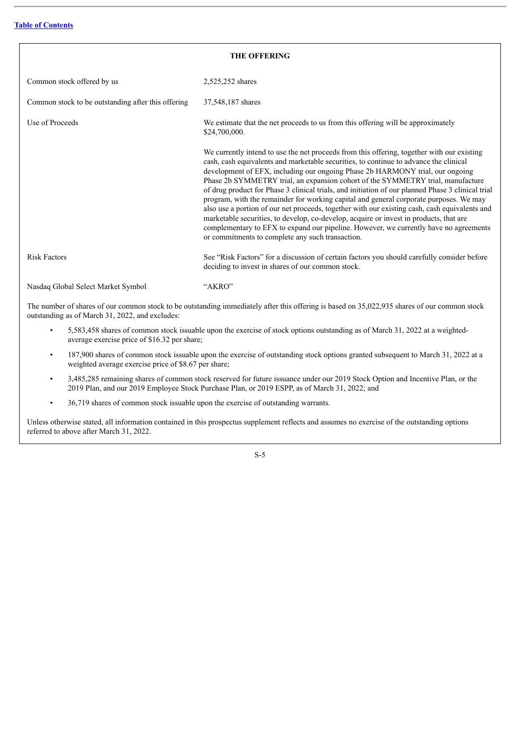<span id="page-6-0"></span>

| <b>THE OFFERING</b>                                |                                                                                                                                                                                                                                                                                                                                                                                                                                                                                                                                                                                                                                                                                                                                                                                                                                                                                                |  |  |  |  |  |
|----------------------------------------------------|------------------------------------------------------------------------------------------------------------------------------------------------------------------------------------------------------------------------------------------------------------------------------------------------------------------------------------------------------------------------------------------------------------------------------------------------------------------------------------------------------------------------------------------------------------------------------------------------------------------------------------------------------------------------------------------------------------------------------------------------------------------------------------------------------------------------------------------------------------------------------------------------|--|--|--|--|--|
| Common stock offered by us                         | 2,525,252 shares                                                                                                                                                                                                                                                                                                                                                                                                                                                                                                                                                                                                                                                                                                                                                                                                                                                                               |  |  |  |  |  |
| Common stock to be outstanding after this offering | 37,548,187 shares                                                                                                                                                                                                                                                                                                                                                                                                                                                                                                                                                                                                                                                                                                                                                                                                                                                                              |  |  |  |  |  |
| Use of Proceeds                                    | We estimate that the net proceeds to us from this offering will be approximately<br>\$24,700,000.                                                                                                                                                                                                                                                                                                                                                                                                                                                                                                                                                                                                                                                                                                                                                                                              |  |  |  |  |  |
|                                                    | We currently intend to use the net proceeds from this offering, together with our existing<br>cash, cash equivalents and marketable securities, to continue to advance the clinical<br>development of EFX, including our ongoing Phase 2b HARMONY trial, our ongoing<br>Phase 2b SYMMETRY trial, an expansion cohort of the SYMMETRY trial, manufacture<br>of drug product for Phase 3 clinical trials, and initiation of our planned Phase 3 clinical trial<br>program, with the remainder for working capital and general corporate purposes. We may<br>also use a portion of our net proceeds, together with our existing cash, cash equivalents and<br>marketable securities, to develop, co-develop, acquire or invest in products, that are<br>complementary to EFX to expand our pipeline. However, we currently have no agreements<br>or commitments to complete any such transaction. |  |  |  |  |  |
| <b>Risk Factors</b>                                | See "Risk Factors" for a discussion of certain factors you should carefully consider before<br>deciding to invest in shares of our common stock.                                                                                                                                                                                                                                                                                                                                                                                                                                                                                                                                                                                                                                                                                                                                               |  |  |  |  |  |
| Nasdaq Global Select Market Symbol                 | "AKRO"                                                                                                                                                                                                                                                                                                                                                                                                                                                                                                                                                                                                                                                                                                                                                                                                                                                                                         |  |  |  |  |  |

The number of shares of our common stock to be outstanding immediately after this offering is based on 35,022,935 shares of our common stock outstanding as of March 31, 2022, and excludes:

- 5,583,458 shares of common stock issuable upon the exercise of stock options outstanding as of March 31, 2022 at a weightedaverage exercise price of \$16.32 per share;
- 187,900 shares of common stock issuable upon the exercise of outstanding stock options granted subsequent to March 31, 2022 at a weighted average exercise price of \$8.67 per share;
- 3,485,285 remaining shares of common stock reserved for future issuance under our 2019 Stock Option and Incentive Plan, or the 2019 Plan, and our 2019 Employee Stock Purchase Plan, or 2019 ESPP, as of March 31, 2022; and
- 36,719 shares of common stock issuable upon the exercise of outstanding warrants.

Unless otherwise stated, all information contained in this prospectus supplement reflects and assumes no exercise of the outstanding options referred to above after March 31, 2022.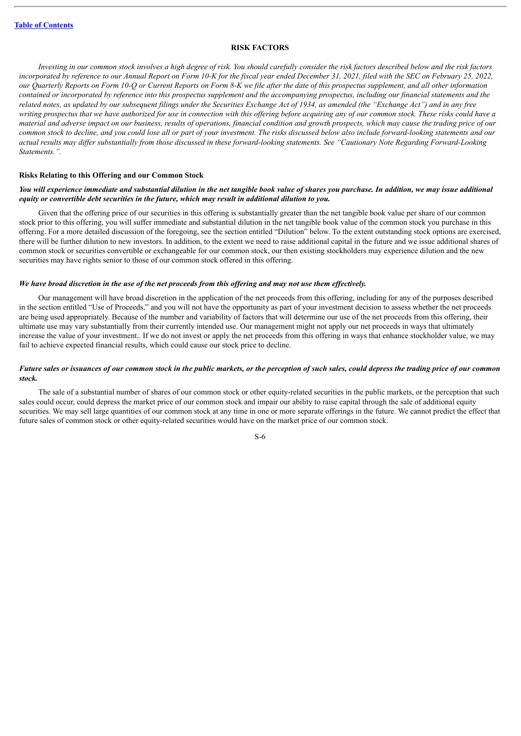### **RISK FACTORS**

<span id="page-7-0"></span>Investing in our common stock involves a high degree of risk. You should carefully consider the risk factors described below and the risk factors incorporated by reference to our Annual Report on Form 10-K for the fiscal year ended December 31, 2021, filed with the SEC on February 25, 2022, our Quarterly Reports on Form 10-Q or Current Reports on Form 8-K we file after the date of this prospectus supplement, and all other information contained or incorporated by reference into this prospectus supplement and the accompanying prospectus, including our financial statements and the related notes, as updated by our subsequent filings under the Securities Exchange Act of 1934, as amended (the "Exchange Act") and in any free writing prospectus that we have authorized for use in connection with this offering before acquiring any of our common stock. These risks could have a material and adverse impact on our business, results of operations, financial condition and growth prospects, which may cause the trading price of our common stock to decline, and you could lose all or part of your investment. The risks discussed below also include forward-looking statements and our actual results may differ substantially from those discussed in these forward-looking statements. See "Cautionary Note Regarding Forward-Looking *Statements.".*

#### **Risks Relating to this Offering and our Common Stock**

# You will experience immediate and substantial dilution in the net tangible book value of shares you purchase. In addition, we may issue additional *equity or convertible debt securities in the future, which may result in additional dilution to you.*

Given that the offering price of our securities in this offering is substantially greater than the net tangible book value per share of our common stock prior to this offering, you will suffer immediate and substantial dilution in the net tangible book value of the common stock you purchase in this offering. For a more detailed discussion of the foregoing, see the section entitled "Dilution" below. To the extent outstanding stock options are exercised, there will be further dilution to new investors. In addition, to the extent we need to raise additional capital in the future and we issue additional shares of common stock or securities convertible or exchangeable for our common stock, our then existing stockholders may experience dilution and the new securities may have rights senior to those of our common stock offered in this offering.

#### We have broad discretion in the use of the net proceeds from this offering and may not use them effectively.

Our management will have broad discretion in the application of the net proceeds from this offering, including for any of the purposes described in the section entitled "Use of Proceeds," and you will not have the opportunity as part of your investment decision to assess whether the net proceeds are being used appropriately. Because of the number and variability of factors that will determine our use of the net proceeds from this offering, their ultimate use may vary substantially from their currently intended use. Our management might not apply our net proceeds in ways that ultimately increase the value of your investment.. If we do not invest or apply the net proceeds from this offering in ways that enhance stockholder value, we may fail to achieve expected financial results, which could cause our stock price to decline.

# Future sales or issuances of our common stock in the public markets, or the perception of such sales, could depress the trading price of our common *stock.*

The sale of a substantial number of shares of our common stock or other equity-related securities in the public markets, or the perception that such sales could occur, could depress the market price of our common stock and impair our ability to raise capital through the sale of additional equity securities. We may sell large quantities of our common stock at any time in one or more separate offerings in the future. We cannot predict the effect that future sales of common stock or other equity-related securities would have on the market price of our common stock.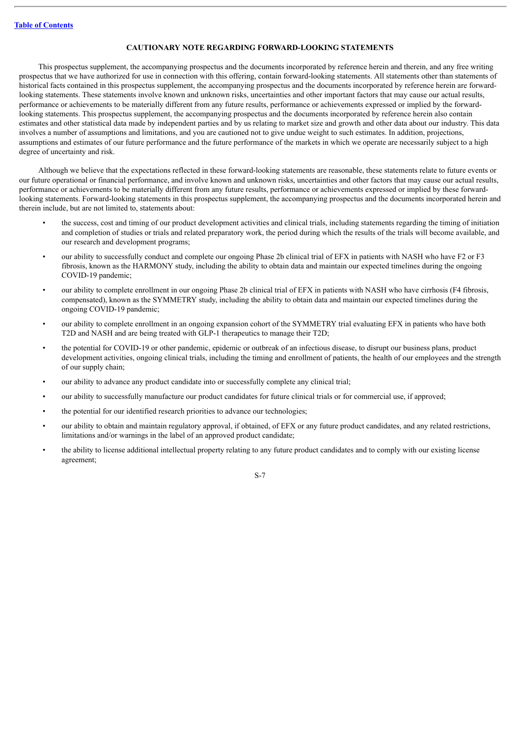# **CAUTIONARY NOTE REGARDING FORWARD-LOOKING STATEMENTS**

<span id="page-8-0"></span>This prospectus supplement, the accompanying prospectus and the documents incorporated by reference herein and therein, and any free writing prospectus that we have authorized for use in connection with this offering, contain forward-looking statements. All statements other than statements of historical facts contained in this prospectus supplement, the accompanying prospectus and the documents incorporated by reference herein are forwardlooking statements. These statements involve known and unknown risks, uncertainties and other important factors that may cause our actual results, performance or achievements to be materially different from any future results, performance or achievements expressed or implied by the forwardlooking statements. This prospectus supplement, the accompanying prospectus and the documents incorporated by reference herein also contain estimates and other statistical data made by independent parties and by us relating to market size and growth and other data about our industry. This data involves a number of assumptions and limitations, and you are cautioned not to give undue weight to such estimates. In addition, projections, assumptions and estimates of our future performance and the future performance of the markets in which we operate are necessarily subject to a high degree of uncertainty and risk.

Although we believe that the expectations reflected in these forward-looking statements are reasonable, these statements relate to future events or our future operational or financial performance, and involve known and unknown risks, uncertainties and other factors that may cause our actual results, performance or achievements to be materially different from any future results, performance or achievements expressed or implied by these forwardlooking statements. Forward-looking statements in this prospectus supplement, the accompanying prospectus and the documents incorporated herein and therein include, but are not limited to, statements about:

- the success, cost and timing of our product development activities and clinical trials, including statements regarding the timing of initiation and completion of studies or trials and related preparatory work, the period during which the results of the trials will become available, and our research and development programs;
- our ability to successfully conduct and complete our ongoing Phase 2b clinical trial of EFX in patients with NASH who have F2 or F3 fibrosis, known as the HARMONY study, including the ability to obtain data and maintain our expected timelines during the ongoing COVID-19 pandemic;
- our ability to complete enrollment in our ongoing Phase 2b clinical trial of EFX in patients with NASH who have cirrhosis (F4 fibrosis, compensated), known as the SYMMETRY study, including the ability to obtain data and maintain our expected timelines during the ongoing COVID-19 pandemic;
- our ability to complete enrollment in an ongoing expansion cohort of the SYMMETRY trial evaluating EFX in patients who have both T2D and NASH and are being treated with GLP-1 therapeutics to manage their T2D;
- the potential for COVID-19 or other pandemic, epidemic or outbreak of an infectious disease, to disrupt our business plans, product development activities, ongoing clinical trials, including the timing and enrollment of patients, the health of our employees and the strength of our supply chain;
- our ability to advance any product candidate into or successfully complete any clinical trial;
- our ability to successfully manufacture our product candidates for future clinical trials or for commercial use, if approved;
- the potential for our identified research priorities to advance our technologies;
- our ability to obtain and maintain regulatory approval, if obtained, of EFX or any future product candidates, and any related restrictions, limitations and/or warnings in the label of an approved product candidate;
- the ability to license additional intellectual property relating to any future product candidates and to comply with our existing license agreement;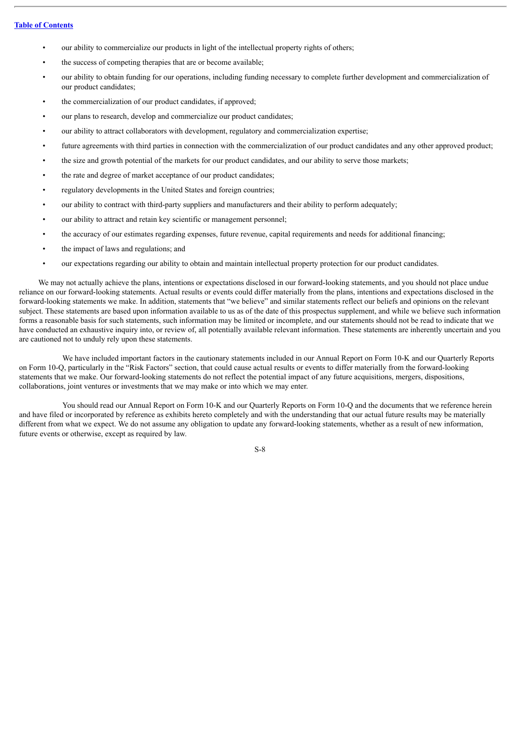- our ability to commercialize our products in light of the intellectual property rights of others;
- the success of competing therapies that are or become available;
- our ability to obtain funding for our operations, including funding necessary to complete further development and commercialization of our product candidates;
- the commercialization of our product candidates, if approved;
- our plans to research, develop and commercialize our product candidates;
- our ability to attract collaborators with development, regulatory and commercialization expertise;
- future agreements with third parties in connection with the commercialization of our product candidates and any other approved product:
- the size and growth potential of the markets for our product candidates, and our ability to serve those markets;
- the rate and degree of market acceptance of our product candidates;
- regulatory developments in the United States and foreign countries;
- our ability to contract with third-party suppliers and manufacturers and their ability to perform adequately;
- our ability to attract and retain key scientific or management personnel;
- the accuracy of our estimates regarding expenses, future revenue, capital requirements and needs for additional financing;
- the impact of laws and regulations; and
- our expectations regarding our ability to obtain and maintain intellectual property protection for our product candidates.

We may not actually achieve the plans, intentions or expectations disclosed in our forward-looking statements, and you should not place undue reliance on our forward-looking statements. Actual results or events could differ materially from the plans, intentions and expectations disclosed in the forward-looking statements we make. In addition, statements that "we believe" and similar statements reflect our beliefs and opinions on the relevant subject. These statements are based upon information available to us as of the date of this prospectus supplement, and while we believe such information forms a reasonable basis for such statements, such information may be limited or incomplete, and our statements should not be read to indicate that we have conducted an exhaustive inquiry into, or review of, all potentially available relevant information. These statements are inherently uncertain and you are cautioned not to unduly rely upon these statements.

We have included important factors in the cautionary statements included in our Annual Report on Form 10-K and our Quarterly Reports on Form 10-Q, particularly in the "Risk Factors" section, that could cause actual results or events to differ materially from the forward-looking statements that we make. Our forward-looking statements do not reflect the potential impact of any future acquisitions, mergers, dispositions, collaborations, joint ventures or investments that we may make or into which we may enter.

You should read our Annual Report on Form 10-K and our Quarterly Reports on Form 10-Q and the documents that we reference herein and have filed or incorporated by reference as exhibits hereto completely and with the understanding that our actual future results may be materially different from what we expect. We do not assume any obligation to update any forward-looking statements, whether as a result of new information, future events or otherwise, except as required by law.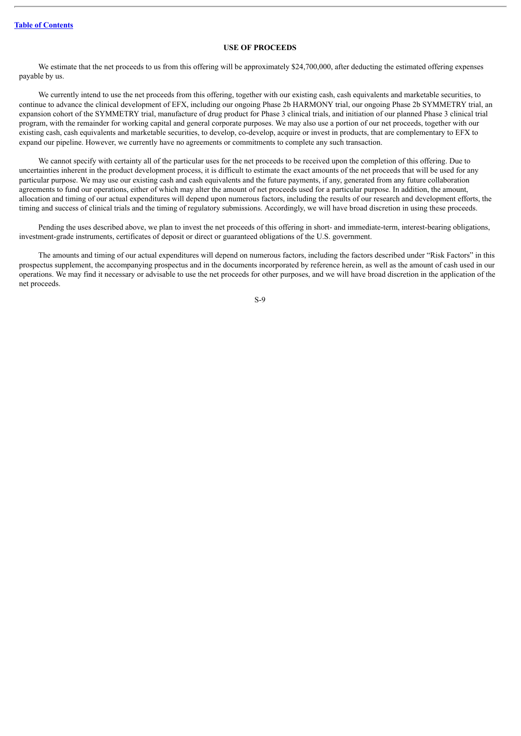# **USE OF PROCEEDS**

<span id="page-10-0"></span>We estimate that the net proceeds to us from this offering will be approximately \$24,700,000, after deducting the estimated offering expenses payable by us.

We currently intend to use the net proceeds from this offering, together with our existing cash, cash equivalents and marketable securities, to continue to advance the clinical development of EFX, including our ongoing Phase 2b HARMONY trial, our ongoing Phase 2b SYMMETRY trial, an expansion cohort of the SYMMETRY trial, manufacture of drug product for Phase 3 clinical trials, and initiation of our planned Phase 3 clinical trial program, with the remainder for working capital and general corporate purposes. We may also use a portion of our net proceeds, together with our existing cash, cash equivalents and marketable securities, to develop, co-develop, acquire or invest in products, that are complementary to EFX to expand our pipeline. However, we currently have no agreements or commitments to complete any such transaction.

We cannot specify with certainty all of the particular uses for the net proceeds to be received upon the completion of this offering. Due to uncertainties inherent in the product development process, it is difficult to estimate the exact amounts of the net proceeds that will be used for any particular purpose. We may use our existing cash and cash equivalents and the future payments, if any, generated from any future collaboration agreements to fund our operations, either of which may alter the amount of net proceeds used for a particular purpose. In addition, the amount, allocation and timing of our actual expenditures will depend upon numerous factors, including the results of our research and development efforts, the timing and success of clinical trials and the timing of regulatory submissions. Accordingly, we will have broad discretion in using these proceeds.

Pending the uses described above, we plan to invest the net proceeds of this offering in short- and immediate-term, interest-bearing obligations, investment-grade instruments, certificates of deposit or direct or guaranteed obligations of the U.S. government.

The amounts and timing of our actual expenditures will depend on numerous factors, including the factors described under "Risk Factors" in this prospectus supplement, the accompanying prospectus and in the documents incorporated by reference herein, as well as the amount of cash used in our operations. We may find it necessary or advisable to use the net proceeds for other purposes, and we will have broad discretion in the application of the net proceeds.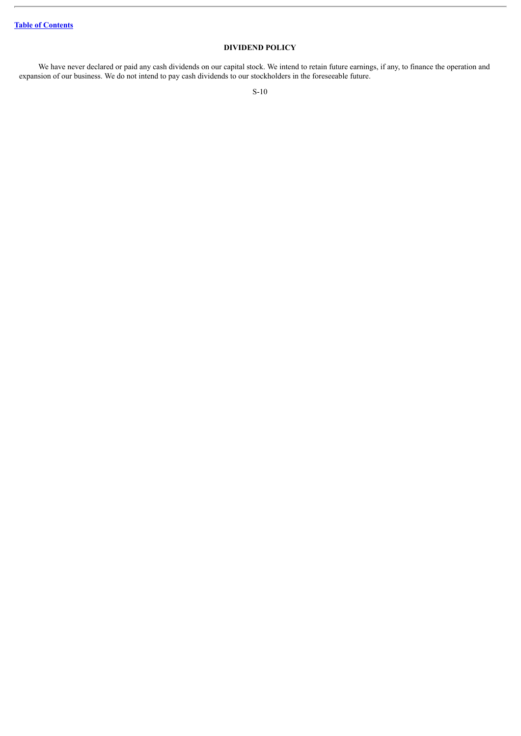# **DIVIDEND POLICY**

<span id="page-11-0"></span>We have never declared or paid any cash dividends on our capital stock. We intend to retain future earnings, if any, to finance the operation and expansion of our business. We do not intend to pay cash dividends to our stockholders in the foreseeable future.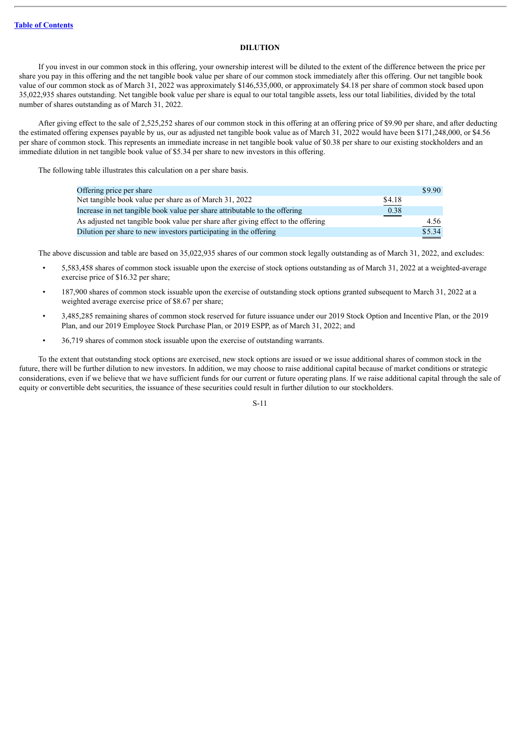# **DILUTION**

<span id="page-12-0"></span>If you invest in our common stock in this offering, your ownership interest will be diluted to the extent of the difference between the price per share you pay in this offering and the net tangible book value per share of our common stock immediately after this offering. Our net tangible book value of our common stock as of March 31, 2022 was approximately \$146,535,000, or approximately \$4.18 per share of common stock based upon 35,022,935 shares outstanding. Net tangible book value per share is equal to our total tangible assets, less our total liabilities, divided by the total number of shares outstanding as of March 31, 2022.

After giving effect to the sale of 2,525,252 shares of our common stock in this offering at an offering price of \$9.90 per share, and after deducting the estimated offering expenses payable by us, our as adjusted net tangible book value as of March 31, 2022 would have been \$171,248,000, or \$4.56 per share of common stock. This represents an immediate increase in net tangible book value of \$0.38 per share to our existing stockholders and an immediate dilution in net tangible book value of \$5.34 per share to new investors in this offering.

The following table illustrates this calculation on a per share basis.

| Offering price per share                                                          |        | \$9.90       |
|-----------------------------------------------------------------------------------|--------|--------------|
| Net tangible book value per share as of March 31, 2022                            | \$4.18 |              |
| Increase in net tangible book value per share attributable to the offering        | 0.38   |              |
| As adjusted net tangible book value per share after giving effect to the offering |        | 4.56<br>____ |
| Dilution per share to new investors participating in the offering                 |        | \$5.34       |

The above discussion and table are based on 35,022,935 shares of our common stock legally outstanding as of March 31, 2022, and excludes:

- 5,583,458 shares of common stock issuable upon the exercise of stock options outstanding as of March 31, 2022 at a weighted-average exercise price of \$16.32 per share;
- 187,900 shares of common stock issuable upon the exercise of outstanding stock options granted subsequent to March 31, 2022 at a weighted average exercise price of \$8.67 per share;
- 3,485,285 remaining shares of common stock reserved for future issuance under our 2019 Stock Option and Incentive Plan, or the 2019 Plan, and our 2019 Employee Stock Purchase Plan, or 2019 ESPP, as of March 31, 2022; and
- 36,719 shares of common stock issuable upon the exercise of outstanding warrants.

To the extent that outstanding stock options are exercised, new stock options are issued or we issue additional shares of common stock in the future, there will be further dilution to new investors. In addition, we may choose to raise additional capital because of market conditions or strategic considerations, even if we believe that we have sufficient funds for our current or future operating plans. If we raise additional capital through the sale of equity or convertible debt securities, the issuance of these securities could result in further dilution to our stockholders.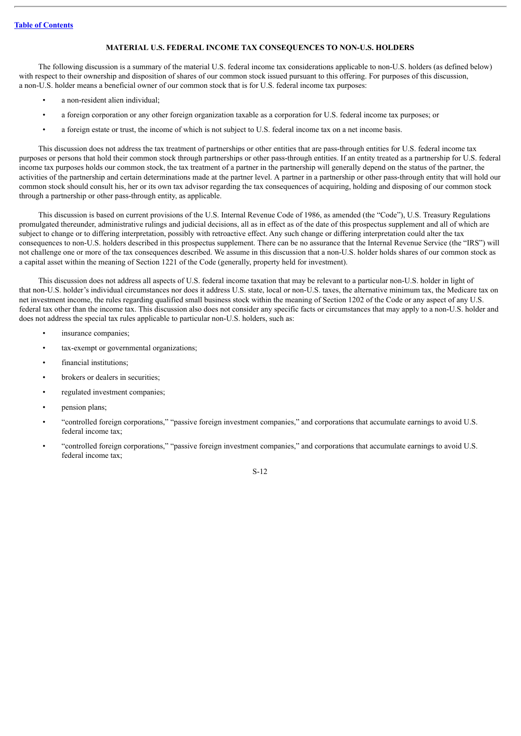# **MATERIAL U.S. FEDERAL INCOME TAX CONSEQUENCES TO NON-U.S. HOLDERS**

<span id="page-13-0"></span>The following discussion is a summary of the material U.S. federal income tax considerations applicable to non-U.S. holders (as defined below) with respect to their ownership and disposition of shares of our common stock issued pursuant to this offering. For purposes of this discussion, a non-U.S. holder means a beneficial owner of our common stock that is for U.S. federal income tax purposes:

- a non-resident alien individual;
- a foreign corporation or any other foreign organization taxable as a corporation for U.S. federal income tax purposes; or
- a foreign estate or trust, the income of which is not subject to U.S. federal income tax on a net income basis.

This discussion does not address the tax treatment of partnerships or other entities that are pass-through entities for U.S. federal income tax purposes or persons that hold their common stock through partnerships or other pass-through entities. If an entity treated as a partnership for U.S. federal income tax purposes holds our common stock, the tax treatment of a partner in the partnership will generally depend on the status of the partner, the activities of the partnership and certain determinations made at the partner level. A partner in a partnership or other pass-through entity that will hold our common stock should consult his, her or its own tax advisor regarding the tax consequences of acquiring, holding and disposing of our common stock through a partnership or other pass-through entity, as applicable.

This discussion is based on current provisions of the U.S. Internal Revenue Code of 1986, as amended (the "Code"), U.S. Treasury Regulations promulgated thereunder, administrative rulings and judicial decisions, all as in effect as of the date of this prospectus supplement and all of which are subject to change or to differing interpretation, possibly with retroactive effect. Any such change or differing interpretation could alter the tax consequences to non-U.S. holders described in this prospectus supplement. There can be no assurance that the Internal Revenue Service (the "IRS") will not challenge one or more of the tax consequences described. We assume in this discussion that a non-U.S. holder holds shares of our common stock as a capital asset within the meaning of Section 1221 of the Code (generally, property held for investment).

This discussion does not address all aspects of U.S. federal income taxation that may be relevant to a particular non-U.S. holder in light of that non-U.S. holder's individual circumstances nor does it address U.S. state, local or non-U.S. taxes, the alternative minimum tax, the Medicare tax on net investment income, the rules regarding qualified small business stock within the meaning of Section 1202 of the Code or any aspect of any U.S. federal tax other than the income tax. This discussion also does not consider any specific facts or circumstances that may apply to a non-U.S. holder and does not address the special tax rules applicable to particular non-U.S. holders, such as:

- insurance companies;
- tax-exempt or governmental organizations;
- financial institutions;
- brokers or dealers in securities;
- regulated investment companies;
- pension plans;
- "controlled foreign corporations," "passive foreign investment companies," and corporations that accumulate earnings to avoid U.S. federal income tax;
- "controlled foreign corporations," "passive foreign investment companies," and corporations that accumulate earnings to avoid U.S. federal income tax;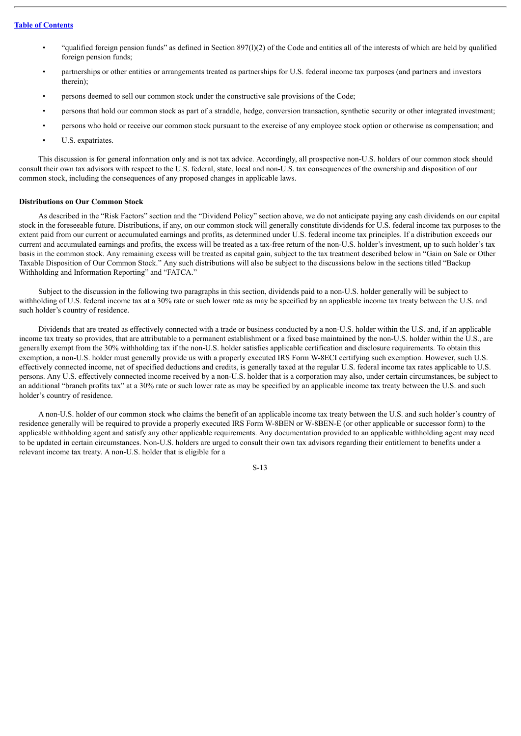- "qualified foreign pension funds" as defined in Section 897(l)(2) of the Code and entities all of the interests of which are held by qualified foreign pension funds;
- partnerships or other entities or arrangements treated as partnerships for U.S. federal income tax purposes (and partners and investors therein);
- persons deemed to sell our common stock under the constructive sale provisions of the Code;
- persons that hold our common stock as part of a straddle, hedge, conversion transaction, synthetic security or other integrated investment;
- persons who hold or receive our common stock pursuant to the exercise of any employee stock option or otherwise as compensation; and
- U.S. expatriates.

This discussion is for general information only and is not tax advice. Accordingly, all prospective non-U.S. holders of our common stock should consult their own tax advisors with respect to the U.S. federal, state, local and non-U.S. tax consequences of the ownership and disposition of our common stock, including the consequences of any proposed changes in applicable laws.

# **Distributions on Our Common Stock**

As described in the "Risk Factors" section and the "Dividend Policy" section above, we do not anticipate paying any cash dividends on our capital stock in the foreseeable future. Distributions, if any, on our common stock will generally constitute dividends for U.S. federal income tax purposes to the extent paid from our current or accumulated earnings and profits, as determined under U.S. federal income tax principles. If a distribution exceeds our current and accumulated earnings and profits, the excess will be treated as a tax-free return of the non-U.S. holder's investment, up to such holder's tax basis in the common stock. Any remaining excess will be treated as capital gain, subject to the tax treatment described below in "Gain on Sale or Other Taxable Disposition of Our Common Stock." Any such distributions will also be subject to the discussions below in the sections titled "Backup Withholding and Information Reporting" and "FATCA."

Subject to the discussion in the following two paragraphs in this section, dividends paid to a non-U.S. holder generally will be subject to withholding of U.S. federal income tax at a 30% rate or such lower rate as may be specified by an applicable income tax treaty between the U.S. and such holder's country of residence.

Dividends that are treated as effectively connected with a trade or business conducted by a non-U.S. holder within the U.S. and, if an applicable income tax treaty so provides, that are attributable to a permanent establishment or a fixed base maintained by the non-U.S. holder within the U.S., are generally exempt from the 30% withholding tax if the non-U.S. holder satisfies applicable certification and disclosure requirements. To obtain this exemption, a non-U.S. holder must generally provide us with a properly executed IRS Form W-8ECI certifying such exemption. However, such U.S. effectively connected income, net of specified deductions and credits, is generally taxed at the regular U.S. federal income tax rates applicable to U.S. persons. Any U.S. effectively connected income received by a non-U.S. holder that is a corporation may also, under certain circumstances, be subject to an additional "branch profits tax" at a 30% rate or such lower rate as may be specified by an applicable income tax treaty between the U.S. and such holder's country of residence.

A non-U.S. holder of our common stock who claims the benefit of an applicable income tax treaty between the U.S. and such holder's country of residence generally will be required to provide a properly executed IRS Form W-8BEN or W-8BEN-E (or other applicable or successor form) to the applicable withholding agent and satisfy any other applicable requirements. Any documentation provided to an applicable withholding agent may need to be updated in certain circumstances. Non-U.S. holders are urged to consult their own tax advisors regarding their entitlement to benefits under a relevant income tax treaty. A non-U.S. holder that is eligible for a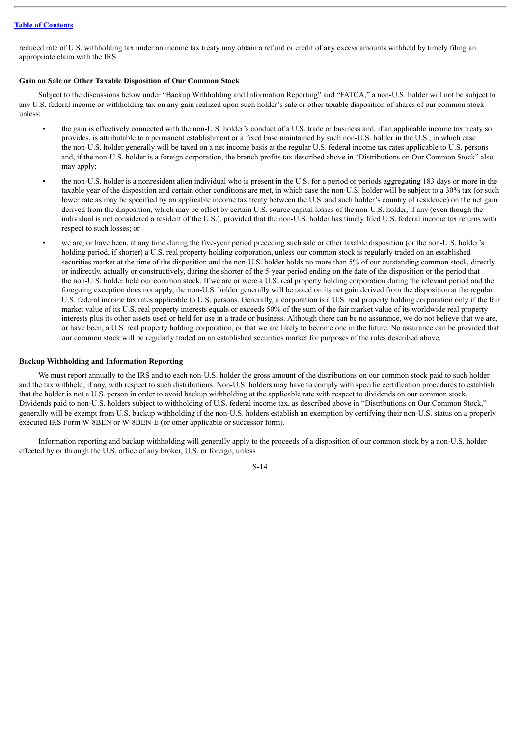reduced rate of U.S. withholding tax under an income tax treaty may obtain a refund or credit of any excess amounts withheld by timely filing an appropriate claim with the IRS.

## **Gain on Sale or Other Taxable Disposition of Our Common Stock**

Subject to the discussions below under "Backup Withholding and Information Reporting" and "FATCA," a non-U.S. holder will not be subject to any U.S. federal income or withholding tax on any gain realized upon such holder's sale or other taxable disposition of shares of our common stock unless:

- the gain is effectively connected with the non-U.S. holder's conduct of a U.S. trade or business and, if an applicable income tax treaty so provides, is attributable to a permanent establishment or a fixed base maintained by such non-U.S. holder in the U.S., in which case the non-U.S. holder generally will be taxed on a net income basis at the regular U.S. federal income tax rates applicable to U.S. persons and, if the non-U.S. holder is a foreign corporation, the branch profits tax described above in "Distributions on Our Common Stock" also may apply;
- the non-U.S. holder is a nonresident alien individual who is present in the U.S. for a period or periods aggregating 183 days or more in the taxable year of the disposition and certain other conditions are met, in which case the non-U.S. holder will be subject to a 30% tax (or such lower rate as may be specified by an applicable income tax treaty between the U.S. and such holder's country of residence) on the net gain derived from the disposition, which may be offset by certain U.S. source capital losses of the non-U.S. holder, if any (even though the individual is not considered a resident of the U.S.), provided that the non-U.S. holder has timely filed U.S. federal income tax returns with respect to such losses; or
- we are, or have been, at any time during the five-year period preceding such sale or other taxable disposition (or the non-U.S. holder's holding period, if shorter) a U.S. real property holding corporation, unless our common stock is regularly traded on an established securities market at the time of the disposition and the non-U.S. holder holds no more than 5% of our outstanding common stock, directly or indirectly, actually or constructively, during the shorter of the 5-year period ending on the date of the disposition or the period that the non-U.S. holder held our common stock. If we are or were a U.S. real property holding corporation during the relevant period and the foregoing exception does not apply, the non-U.S. holder generally will be taxed on its net gain derived from the disposition at the regular U.S. federal income tax rates applicable to U.S. persons. Generally, a corporation is a U.S. real property holding corporation only if the fair market value of its U.S. real property interests equals or exceeds 50% of the sum of the fair market value of its worldwide real property interests plus its other assets used or held for use in a trade or business. Although there can be no assurance, we do not believe that we are, or have been, a U.S. real property holding corporation, or that we are likely to become one in the future. No assurance can be provided that our common stock will be regularly traded on an established securities market for purposes of the rules described above.

### **Backup Withholding and Information Reporting**

We must report annually to the IRS and to each non-U.S. holder the gross amount of the distributions on our common stock paid to such holder and the tax withheld, if any, with respect to such distributions. Non-U.S. holders may have to comply with specific certification procedures to establish that the holder is not a U.S. person in order to avoid backup withholding at the applicable rate with respect to dividends on our common stock. Dividends paid to non-U.S. holders subject to withholding of U.S. federal income tax, as described above in "Distributions on Our Common Stock," generally will be exempt from U.S. backup withholding if the non-U.S. holders establish an exemption by certifying their non-U.S. status on a properly executed IRS Form W-8BEN or W-8BEN-E (or other applicable or successor form).

Information reporting and backup withholding will generally apply to the proceeds of a disposition of our common stock by a non-U.S. holder effected by or through the U.S. office of any broker, U.S. or foreign, unless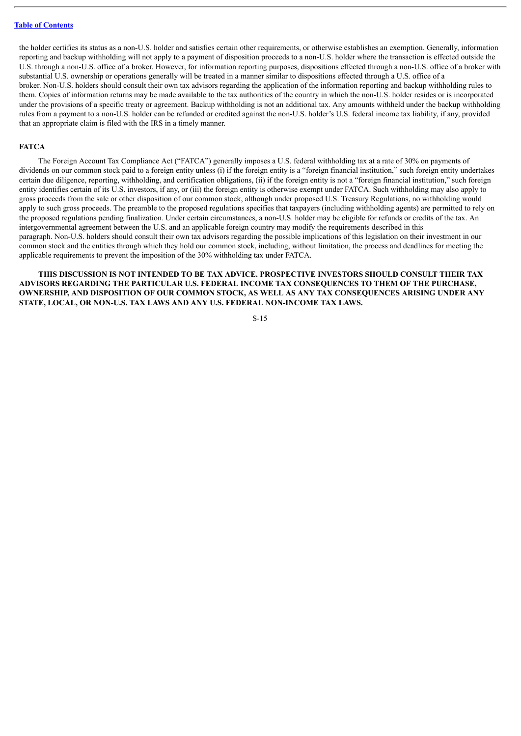the holder certifies its status as a non-U.S. holder and satisfies certain other requirements, or otherwise establishes an exemption. Generally, information reporting and backup withholding will not apply to a payment of disposition proceeds to a non-U.S. holder where the transaction is effected outside the U.S. through a non-U.S. office of a broker. However, for information reporting purposes, dispositions effected through a non-U.S. office of a broker with substantial U.S. ownership or operations generally will be treated in a manner similar to dispositions effected through a U.S. office of a broker. Non-U.S. holders should consult their own tax advisors regarding the application of the information reporting and backup withholding rules to them. Copies of information returns may be made available to the tax authorities of the country in which the non-U.S. holder resides or is incorporated under the provisions of a specific treaty or agreement. Backup withholding is not an additional tax. Any amounts withheld under the backup withholding rules from a payment to a non-U.S. holder can be refunded or credited against the non-U.S. holder's U.S. federal income tax liability, if any, provided that an appropriate claim is filed with the IRS in a timely manner.

### **FATCA**

The Foreign Account Tax Compliance Act ("FATCA") generally imposes a U.S. federal withholding tax at a rate of 30% on payments of dividends on our common stock paid to a foreign entity unless (i) if the foreign entity is a "foreign financial institution," such foreign entity undertakes certain due diligence, reporting, withholding, and certification obligations, (ii) if the foreign entity is not a "foreign financial institution," such foreign entity identifies certain of its U.S. investors, if any, or (iii) the foreign entity is otherwise exempt under FATCA. Such withholding may also apply to gross proceeds from the sale or other disposition of our common stock, although under proposed U.S. Treasury Regulations, no withholding would apply to such gross proceeds. The preamble to the proposed regulations specifies that taxpayers (including withholding agents) are permitted to rely on the proposed regulations pending finalization. Under certain circumstances, a non-U.S. holder may be eligible for refunds or credits of the tax. An intergovernmental agreement between the U.S. and an applicable foreign country may modify the requirements described in this paragraph. Non-U.S. holders should consult their own tax advisors regarding the possible implications of this legislation on their investment in our common stock and the entities through which they hold our common stock, including, without limitation, the process and deadlines for meeting the applicable requirements to prevent the imposition of the 30% withholding tax under FATCA.

**THIS DISCUSSION IS NOT INTENDED TO BE TAX ADVICE. PROSPECTIVE INVESTORS SHOULD CONSULT THEIR TAX ADVISORS REGARDING THE PARTICULAR U.S. FEDERAL INCOME TAX CONSEQUENCES TO THEM OF THE PURCHASE, OWNERSHIP, AND DISPOSITION OF OUR COMMON STOCK, AS WELL AS ANY TAX CONSEQUENCES ARISING UNDER ANY STATE, LOCAL, OR NON-U.S. TAX LAWS AND ANY U.S. FEDERAL NON-INCOME TAX LAWS.**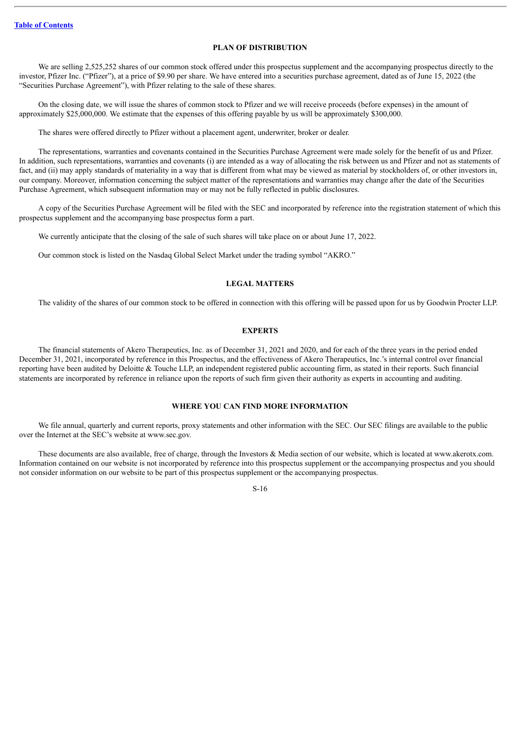# **PLAN OF DISTRIBUTION**

<span id="page-17-0"></span>We are selling 2,525,252 shares of our common stock offered under this prospectus supplement and the accompanying prospectus directly to the investor, Pfizer Inc. ("Pfizer"), at a price of \$9.90 per share. We have entered into a securities purchase agreement, dated as of June 15, 2022 (the "Securities Purchase Agreement"), with Pfizer relating to the sale of these shares.

On the closing date, we will issue the shares of common stock to Pfizer and we will receive proceeds (before expenses) in the amount of approximately \$25,000,000. We estimate that the expenses of this offering payable by us will be approximately \$300,000.

The shares were offered directly to Pfizer without a placement agent, underwriter, broker or dealer.

The representations, warranties and covenants contained in the Securities Purchase Agreement were made solely for the benefit of us and Pfizer. In addition, such representations, warranties and covenants (i) are intended as a way of allocating the risk between us and Pfizer and not as statements of fact, and (ii) may apply standards of materiality in a way that is different from what may be viewed as material by stockholders of, or other investors in, our company. Moreover, information concerning the subject matter of the representations and warranties may change after the date of the Securities Purchase Agreement, which subsequent information may or may not be fully reflected in public disclosures.

A copy of the Securities Purchase Agreement will be filed with the SEC and incorporated by reference into the registration statement of which this prospectus supplement and the accompanying base prospectus form a part.

We currently anticipate that the closing of the sale of such shares will take place on or about June 17, 2022.

Our common stock is listed on the Nasdaq Global Select Market under the trading symbol "AKRO."

# **LEGAL MATTERS**

<span id="page-17-1"></span>The validity of the shares of our common stock to be offered in connection with this offering will be passed upon for us by Goodwin Procter LLP.

### **EXPERTS**

<span id="page-17-2"></span>The financial statements of Akero Therapeutics, Inc. as of December 31, 2021 and 2020, and for each of the three years in the period ended December 31, 2021, incorporated by reference in this Prospectus, and the effectiveness of Akero Therapeutics, Inc.'s internal control over financial reporting have been audited by Deloitte & Touche LLP, an independent registered public accounting firm, as stated in their reports. Such financial statements are incorporated by reference in reliance upon the reports of such firm given their authority as experts in accounting and auditing.

# **WHERE YOU CAN FIND MORE INFORMATION**

<span id="page-17-3"></span>We file annual, quarterly and current reports, proxy statements and other information with the SEC. Our SEC filings are available to the public over the Internet at the SEC's website at www.sec.gov.

These documents are also available, free of charge, through the Investors & Media section of our website, which is located at www.akerotx.com. Information contained on our website is not incorporated by reference into this prospectus supplement or the accompanying prospectus and you should not consider information on our website to be part of this prospectus supplement or the accompanying prospectus.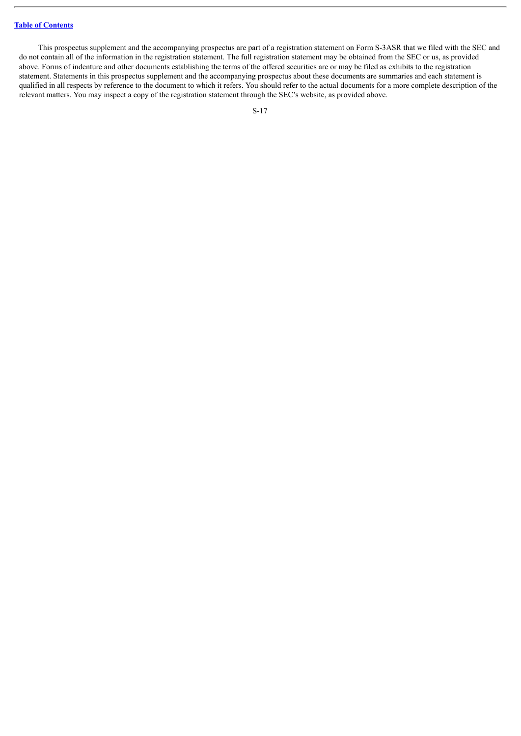This prospectus supplement and the accompanying prospectus are part of a registration statement on Form S-3ASR that we filed with the SEC and do not contain all of the information in the registration statement. The full registration statement may be obtained from the SEC or us, as provided above. Forms of indenture and other documents establishing the terms of the offered securities are or may be filed as exhibits to the registration statement. Statements in this prospectus supplement and the accompanying prospectus about these documents are summaries and each statement is qualified in all respects by reference to the document to which it refers. You should refer to the actual documents for a more complete description of the relevant matters. You may inspect a copy of the registration statement through the SEC's website, as provided above.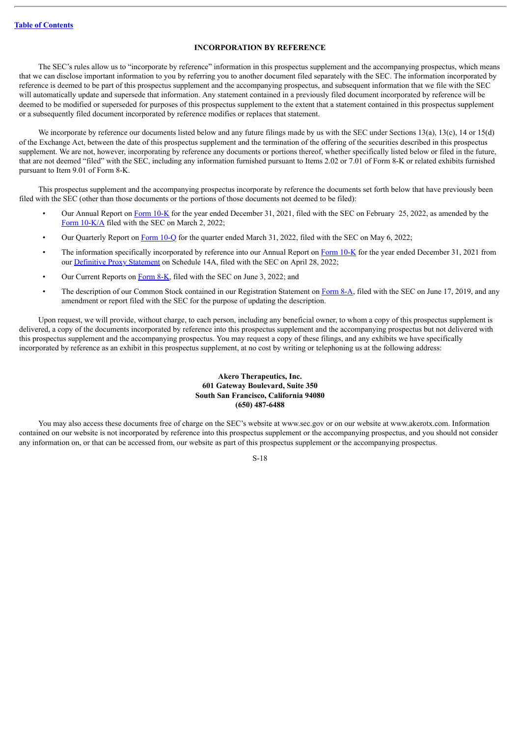# **INCORPORATION BY REFERENCE**

<span id="page-19-0"></span>The SEC's rules allow us to "incorporate by reference" information in this prospectus supplement and the accompanying prospectus, which means that we can disclose important information to you by referring you to another document filed separately with the SEC. The information incorporated by reference is deemed to be part of this prospectus supplement and the accompanying prospectus, and subsequent information that we file with the SEC will automatically update and supersede that information. Any statement contained in a previously filed document incorporated by reference will be deemed to be modified or superseded for purposes of this prospectus supplement to the extent that a statement contained in this prospectus supplement or a subsequently filed document incorporated by reference modifies or replaces that statement.

We incorporate by reference our documents listed below and any future filings made by us with the SEC under Sections 13(a), 13(c), 14 or 15(d) of the Exchange Act, between the date of this prospectus supplement and the termination of the offering of the securities described in this prospectus supplement. We are not, however, incorporating by reference any documents or portions thereof, whether specifically listed below or filed in the future, that are not deemed "filed" with the SEC, including any information furnished pursuant to Items 2.02 or 7.01 of Form 8-K or related exhibits furnished pursuant to Item 9.01 of Form 8-K.

This prospectus supplement and the accompanying prospectus incorporate by reference the documents set forth below that have previously been filed with the SEC (other than those documents or the portions of those documents not deemed to be filed):

- Our Annual Report on [Form](http://www.sec.gov/ix?doc=/Archives/edgar/data/1744659/000155837022002052/akro-20211231x10k.htm) 10-K for the year ended December 31, 2021, filed with the SEC on February 25, 2022, as amended by the Form  $10-K/A$  filed with the SEC on March 2, 2022;
- Our Quarterly Report on [Form](http://www.sec.gov/ix?doc=/Archives/edgar/data/1744659/000095017022007990/akro-20220331.htm) 10-Q for the quarter ended March 31, 2022, filed with the SEC on May 6, 2022;
- The information specifically incorporated by reference into our Annual Report on [Form](http://www.sec.gov/ix?doc=/Archives/edgar/data/1744659/000155837022002052/akro-20211231x10k.htm) 10-K for the year ended December 31, 2021 from our [Definitive](http://www.sec.gov/Archives/edgar/data/1744659/000110465922052289/tm223576-1_def14a.htm) Proxy Statement on Schedule 14A, filed with the SEC on April 28, 2022;
- Our Current Reports on [Form](http://www.sec.gov/ix?doc=/Archives/edgar/data/1744659/000119312522167309/d361407d8k.htm) 8-K, filed with the SEC on June 3, 2022; and
- The description of our Common Stock contained in our Registration Statement on [Form](http://www.sec.gov/Archives/edgar/data/1744659/000110465919035945/a18-41952_78a12b.htm) 8-A, filed with the SEC on June 17, 2019, and any amendment or report filed with the SEC for the purpose of updating the description.

Upon request, we will provide, without charge, to each person, including any beneficial owner, to whom a copy of this prospectus supplement is delivered, a copy of the documents incorporated by reference into this prospectus supplement and the accompanying prospectus but not delivered with this prospectus supplement and the accompanying prospectus. You may request a copy of these filings, and any exhibits we have specifically incorporated by reference as an exhibit in this prospectus supplement, at no cost by writing or telephoning us at the following address:

# **Akero Therapeutics, Inc. 601 Gateway Boulevard, Suite 350 South San Francisco, California 94080 (650) 487-6488**

You may also access these documents free of charge on the SEC's website at www.sec.gov or on our website at www.akerotx.com. Information contained on our website is not incorporated by reference into this prospectus supplement or the accompanying prospectus, and you should not consider any information on, or that can be accessed from, our website as part of this prospectus supplement or the accompanying prospectus.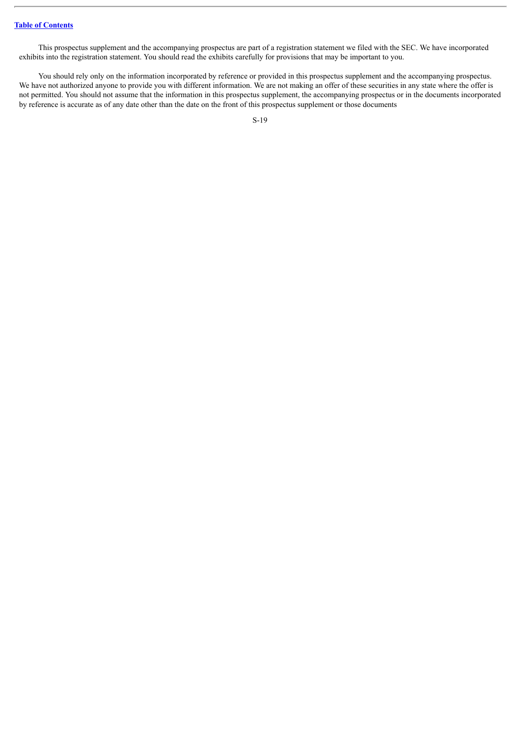This prospectus supplement and the accompanying prospectus are part of a registration statement we filed with the SEC. We have incorporated exhibits into the registration statement. You should read the exhibits carefully for provisions that may be important to you.

You should rely only on the information incorporated by reference or provided in this prospectus supplement and the accompanying prospectus. We have not authorized anyone to provide you with different information. We are not making an offer of these securities in any state where the offer is not permitted. You should not assume that the information in this prospectus supplement, the accompanying prospectus or in the documents incorporated by reference is accurate as of any date other than the date on the front of this prospectus supplement or those documents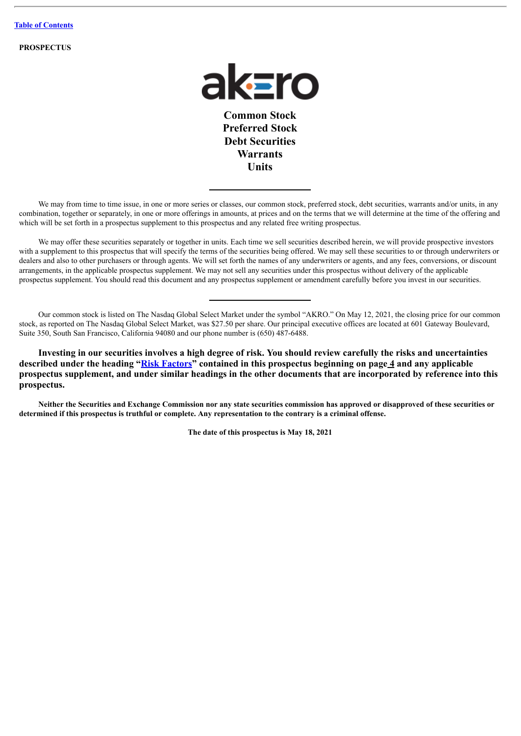**PROSPECTUS**



**Common Stock Preferred Stock Debt Securities Warrants Units**

We may from time to time issue, in one or more series or classes, our common stock, preferred stock, debt securities, warrants and/or units, in any combination, together or separately, in one or more offerings in amounts, at prices and on the terms that we will determine at the time of the offering and which will be set forth in a prospectus supplement to this prospectus and any related free writing prospectus.

We may offer these securities separately or together in units. Each time we sell securities described herein, we will provide prospective investors with a supplement to this prospectus that will specify the terms of the securities being offered. We may sell these securities to or through underwriters or dealers and also to other purchasers or through agents. We will set forth the names of any underwriters or agents, and any fees, conversions, or discount arrangements, in the applicable prospectus supplement. We may not sell any securities under this prospectus without delivery of the applicable prospectus supplement. You should read this document and any prospectus supplement or amendment carefully before you invest in our securities.

Our common stock is listed on The Nasdaq Global Select Market under the symbol "AKRO." On May 12, 2021, the closing price for our common stock, as reported on The Nasdaq Global Select Market, was \$27.50 per share. Our principal executive offices are located at 601 Gateway Boulevard, Suite 350, South San Francisco, California 94080 and our phone number is (650) 487-6488.

**Investing in our securities involves a high degree of risk. You should review carefully the risks and uncertainties described under the heading "[Risk Factors"](#page-26-0) contained in this prospectus beginning on page 4 and any applicable prospectus supplement, and under similar headings in the other documents that are incorporated by reference into this prospectus.**

Neither the Securities and Exchange Commission nor any state securities commission has approved or disapproved of these securities or determined if this prospectus is truthful or complete. Any representation to the contrary is a criminal offense.

**The date of this prospectus is May 18, 2021**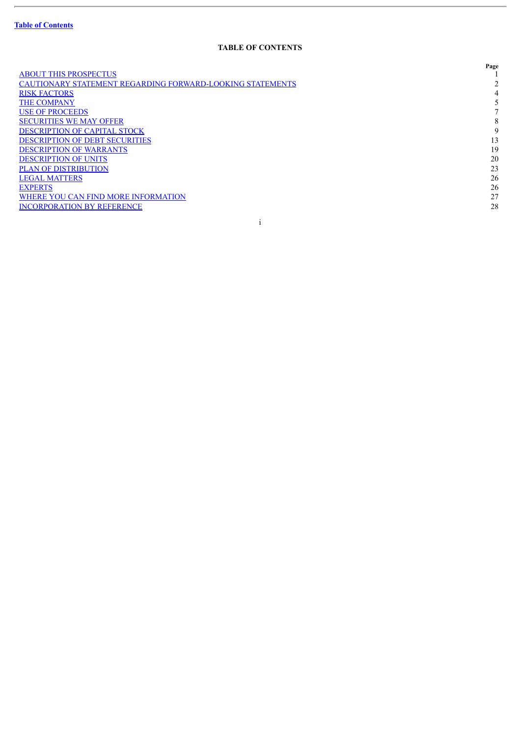ł.

# **TABLE OF CONTENTS**

|                                                           | Page |
|-----------------------------------------------------------|------|
| <b>ABOUT THIS PROSPECTUS</b>                              |      |
| CAUTIONARY STATEMENT REGARDING FORWARD-LOOKING STATEMENTS |      |
| <b>RISK FACTORS</b>                                       |      |
| <b>THE COMPANY</b>                                        |      |
| <b>USE OF PROCEEDS</b>                                    |      |
| <b>SECURITIES WE MAY OFFER</b>                            | 8    |
| <b>DESCRIPTION OF CAPITAL STOCK</b>                       | 9    |
| <b>DESCRIPTION OF DEBT SECURITIES</b>                     | 13   |
| <b>DESCRIPTION OF WARRANTS</b>                            | 19   |
| <b>DESCRIPTION OF UNITS</b>                               | 20   |
| <b>PLAN OF DISTRIBUTION</b>                               | 23   |
| <b>LEGAL MATTERS</b>                                      | 26   |
| <b>EXPERTS</b>                                            | 26   |
| WHERE YOU CAN FIND MORE INFORMATION                       | 27   |
| <b>INCORPORATION BY REFERENCE</b>                         | 28   |
|                                                           |      |
|                                                           |      |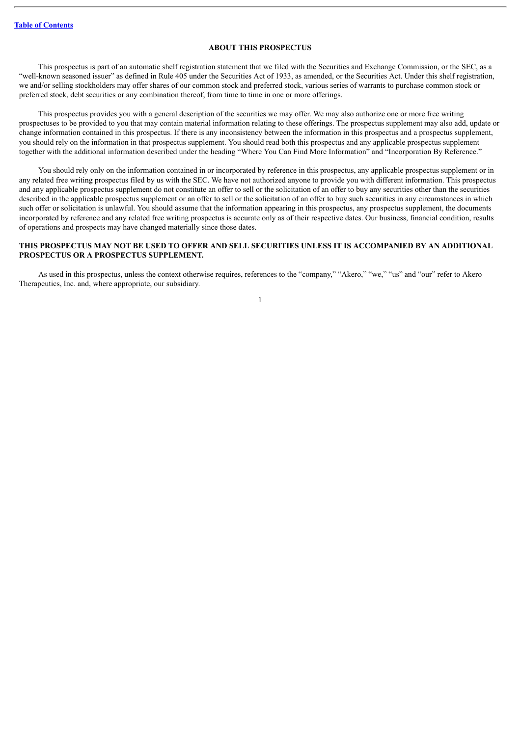# **ABOUT THIS PROSPECTUS**

<span id="page-23-0"></span>This prospectus is part of an automatic shelf registration statement that we filed with the Securities and Exchange Commission, or the SEC, as a "well-known seasoned issuer" as defined in Rule 405 under the Securities Act of 1933, as amended, or the Securities Act. Under this shelf registration, we and/or selling stockholders may offer shares of our common stock and preferred stock, various series of warrants to purchase common stock or preferred stock, debt securities or any combination thereof, from time to time in one or more offerings.

This prospectus provides you with a general description of the securities we may offer. We may also authorize one or more free writing prospectuses to be provided to you that may contain material information relating to these offerings. The prospectus supplement may also add, update or change information contained in this prospectus. If there is any inconsistency between the information in this prospectus and a prospectus supplement, you should rely on the information in that prospectus supplement. You should read both this prospectus and any applicable prospectus supplement together with the additional information described under the heading "Where You Can Find More Information" and "Incorporation By Reference."

You should rely only on the information contained in or incorporated by reference in this prospectus, any applicable prospectus supplement or in any related free writing prospectus filed by us with the SEC. We have not authorized anyone to provide you with different information. This prospectus and any applicable prospectus supplement do not constitute an offer to sell or the solicitation of an offer to buy any securities other than the securities described in the applicable prospectus supplement or an offer to sell or the solicitation of an offer to buy such securities in any circumstances in which such offer or solicitation is unlawful. You should assume that the information appearing in this prospectus, any prospectus supplement, the documents incorporated by reference and any related free writing prospectus is accurate only as of their respective dates. Our business, financial condition, results of operations and prospects may have changed materially since those dates.

# THIS PROSPECTUS MAY NOT BE USED TO OFFER AND SELL SECURITIES UNLESS IT IS ACCOMPANIED BY AN ADDITIONAL **PROSPECTUS OR A PROSPECTUS SUPPLEMENT.**

As used in this prospectus, unless the context otherwise requires, references to the "company," "Akero," "we," "us" and "our" refer to Akero Therapeutics, Inc. and, where appropriate, our subsidiary.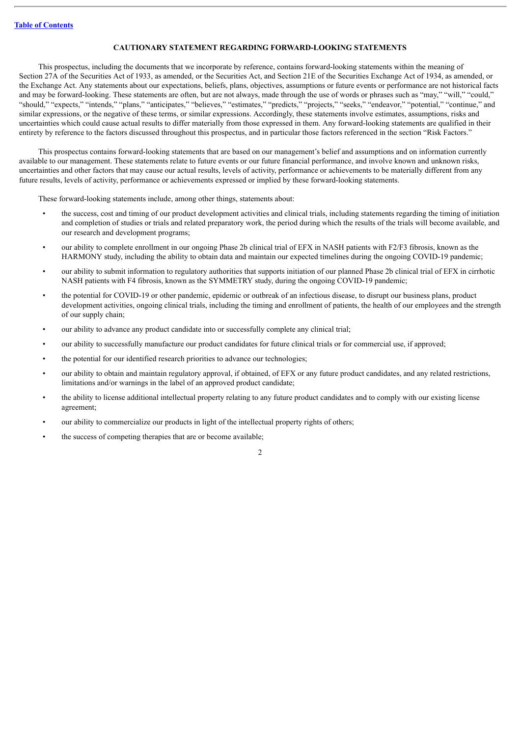# **CAUTIONARY STATEMENT REGARDING FORWARD-LOOKING STATEMENTS**

<span id="page-24-0"></span>This prospectus, including the documents that we incorporate by reference, contains forward-looking statements within the meaning of Section 27A of the Securities Act of 1933, as amended, or the Securities Act, and Section 21E of the Securities Exchange Act of 1934, as amended, or the Exchange Act. Any statements about our expectations, beliefs, plans, objectives, assumptions or future events or performance are not historical facts and may be forward-looking. These statements are often, but are not always, made through the use of words or phrases such as "may," "will," "could," "should," "expects," "intends," "plans," "anticipates," "believes," "estimates," "predicts," "projects," "seeks," "endeavor," "potential," "continue," and similar expressions, or the negative of these terms, or similar expressions. Accordingly, these statements involve estimates, assumptions, risks and uncertainties which could cause actual results to differ materially from those expressed in them. Any forward-looking statements are qualified in their entirety by reference to the factors discussed throughout this prospectus, and in particular those factors referenced in the section "Risk Factors."

This prospectus contains forward-looking statements that are based on our management's belief and assumptions and on information currently available to our management. These statements relate to future events or our future financial performance, and involve known and unknown risks, uncertainties and other factors that may cause our actual results, levels of activity, performance or achievements to be materially different from any future results, levels of activity, performance or achievements expressed or implied by these forward-looking statements.

These forward-looking statements include, among other things, statements about:

- the success, cost and timing of our product development activities and clinical trials, including statements regarding the timing of initiation and completion of studies or trials and related preparatory work, the period during which the results of the trials will become available, and our research and development programs;
- our ability to complete enrollment in our ongoing Phase 2b clinical trial of EFX in NASH patients with F2/F3 fibrosis, known as the HARMONY study, including the ability to obtain data and maintain our expected timelines during the ongoing COVID-19 pandemic;
- our ability to submit information to regulatory authorities that supports initiation of our planned Phase 2b clinical trial of EFX in cirrhotic NASH patients with F4 fibrosis, known as the SYMMETRY study, during the ongoing COVID-19 pandemic;
- the potential for COVID-19 or other pandemic, epidemic or outbreak of an infectious disease, to disrupt our business plans, product development activities, ongoing clinical trials, including the timing and enrollment of patients, the health of our employees and the strength of our supply chain;
- our ability to advance any product candidate into or successfully complete any clinical trial;
- our ability to successfully manufacture our product candidates for future clinical trials or for commercial use, if approved;
- the potential for our identified research priorities to advance our technologies;
- our ability to obtain and maintain regulatory approval, if obtained, of EFX or any future product candidates, and any related restrictions, limitations and/or warnings in the label of an approved product candidate;
- the ability to license additional intellectual property relating to any future product candidates and to comply with our existing license agreement;
- our ability to commercialize our products in light of the intellectual property rights of others;
- the success of competing therapies that are or become available;

 $\overline{2}$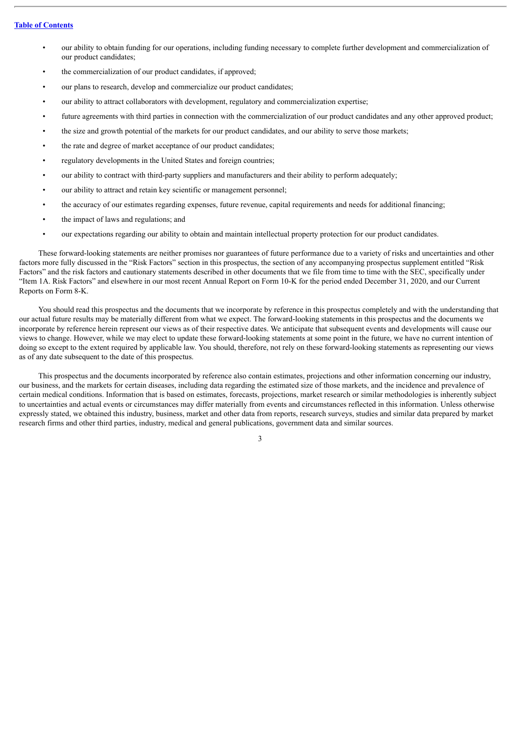- our ability to obtain funding for our operations, including funding necessary to complete further development and commercialization of our product candidates;
- the commercialization of our product candidates, if approved;
- our plans to research, develop and commercialize our product candidates;
- our ability to attract collaborators with development, regulatory and commercialization expertise;
- future agreements with third parties in connection with the commercialization of our product candidates and any other approved product;
- the size and growth potential of the markets for our product candidates, and our ability to serve those markets;
- the rate and degree of market acceptance of our product candidates;
- regulatory developments in the United States and foreign countries;
- our ability to contract with third-party suppliers and manufacturers and their ability to perform adequately;
- our ability to attract and retain key scientific or management personnel;
- the accuracy of our estimates regarding expenses, future revenue, capital requirements and needs for additional financing;
- the impact of laws and regulations; and
- our expectations regarding our ability to obtain and maintain intellectual property protection for our product candidates.

These forward-looking statements are neither promises nor guarantees of future performance due to a variety of risks and uncertainties and other factors more fully discussed in the "Risk Factors" section in this prospectus, the section of any accompanying prospectus supplement entitled "Risk Factors" and the risk factors and cautionary statements described in other documents that we file from time to time with the SEC, specifically under "Item 1A. Risk Factors" and elsewhere in our most recent Annual Report on Form 10-K for the period ended December 31, 2020, and our Current Reports on Form 8-K.

You should read this prospectus and the documents that we incorporate by reference in this prospectus completely and with the understanding that our actual future results may be materially different from what we expect. The forward-looking statements in this prospectus and the documents we incorporate by reference herein represent our views as of their respective dates. We anticipate that subsequent events and developments will cause our views to change. However, while we may elect to update these forward-looking statements at some point in the future, we have no current intention of doing so except to the extent required by applicable law. You should, therefore, not rely on these forward-looking statements as representing our views as of any date subsequent to the date of this prospectus.

This prospectus and the documents incorporated by reference also contain estimates, projections and other information concerning our industry, our business, and the markets for certain diseases, including data regarding the estimated size of those markets, and the incidence and prevalence of certain medical conditions. Information that is based on estimates, forecasts, projections, market research or similar methodologies is inherently subject to uncertainties and actual events or circumstances may differ materially from events and circumstances reflected in this information. Unless otherwise expressly stated, we obtained this industry, business, market and other data from reports, research surveys, studies and similar data prepared by market research firms and other third parties, industry, medical and general publications, government data and similar sources.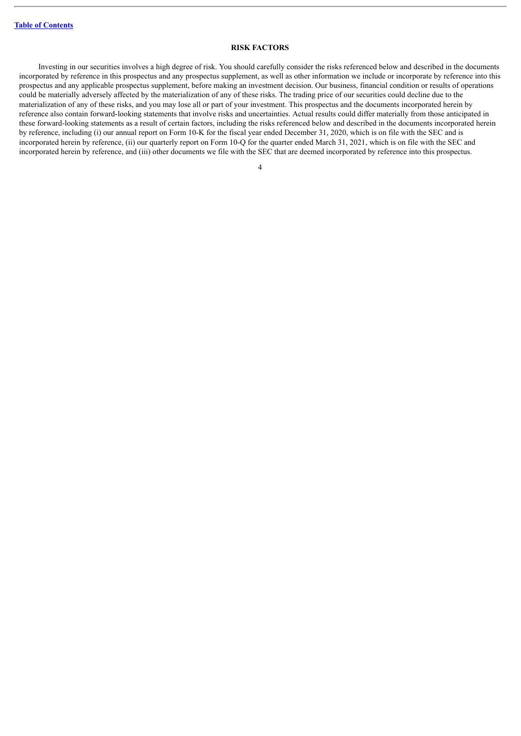### **RISK FACTORS**

<span id="page-26-0"></span>Investing in our securities involves a high degree of risk. You should carefully consider the risks referenced below and described in the documents incorporated by reference in this prospectus and any prospectus supplement, as well as other information we include or incorporate by reference into this prospectus and any applicable prospectus supplement, before making an investment decision. Our business, financial condition or results of operations could be materially adversely affected by the materialization of any of these risks. The trading price of our securities could decline due to the materialization of any of these risks, and you may lose all or part of your investment. This prospectus and the documents incorporated herein by reference also contain forward-looking statements that involve risks and uncertainties. Actual results could differ materially from those anticipated in these forward-looking statements as a result of certain factors, including the risks referenced below and described in the documents incorporated herein by reference, including (i) our annual report on Form 10-K for the fiscal year ended December 31, 2020, which is on file with the SEC and is incorporated herein by reference, (ii) our quarterly report on Form 10-Q for the quarter ended March 31, 2021, which is on file with the SEC and incorporated herein by reference, and (iii) other documents we file with the SEC that are deemed incorporated by reference into this prospectus.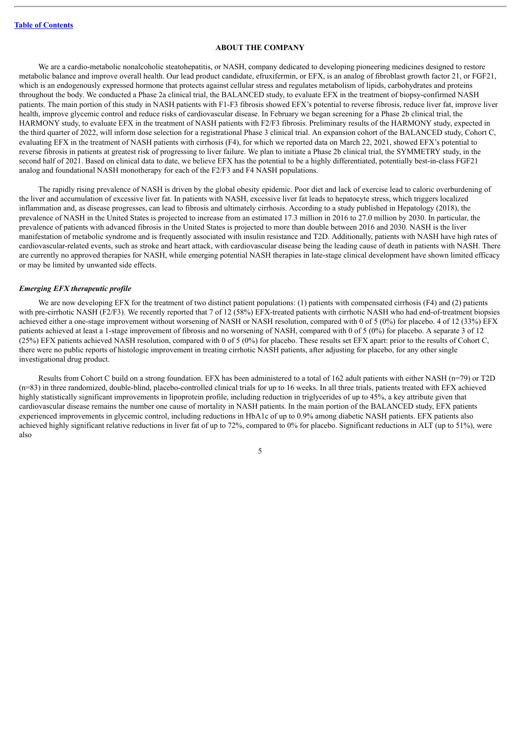### **ABOUT THE COMPANY**

<span id="page-27-0"></span>We are a cardio-metabolic nonalcoholic steatohepatitis, or NASH, company dedicated to developing pioneering medicines designed to restore metabolic balance and improve overall health. Our lead product candidate, efruxifermin, or EFX, is an analog of fibroblast growth factor 21, or FGF21, which is an endogenously expressed hormone that protects against cellular stress and regulates metabolism of lipids, carbohydrates and proteins throughout the body. We conducted a Phase 2a clinical trial, the BALANCED study, to evaluate EFX in the treatment of biopsy-confirmed NASH patients. The main portion of this study in NASH patients with F1-F3 fibrosis showed EFX's potential to reverse fibrosis, reduce liver fat, improve liver health, improve glycemic control and reduce risks of cardiovascular disease. In February we began screening for a Phase 2b clinical trial, the HARMONY study, to evaluate EFX in the treatment of NASH patients with F2/F3 fibrosis. Preliminary results of the HARMONY study, expected in the third quarter of 2022, will inform dose selection for a registrational Phase 3 clinical trial. An expansion cohort of the BALANCED study, Cohort C, evaluating EFX in the treatment of NASH patients with cirrhosis (F4), for which we reported data on March 22, 2021, showed EFX's potential to reverse fibrosis in patients at greatest risk of progressing to liver failure. We plan to initiate a Phase 2b clinical trial, the SYMMETRY study, in the second half of 2021. Based on clinical data to date, we believe EFX has the potential to be a highly differentiated, potentially best-in-class FGF21 analog and foundational NASH monotherapy for each of the F2/F3 and F4 NASH populations.

The rapidly rising prevalence of NASH is driven by the global obesity epidemic. Poor diet and lack of exercise lead to caloric overburdening of the liver and accumulation of excessive liver fat. In patients with NASH, excessive liver fat leads to hepatocyte stress, which triggers localized inflammation and, as disease progresses, can lead to fibrosis and ultimately cirrhosis. According to a study published in Hepatology (2018), the prevalence of NASH in the United States is projected to increase from an estimated 17.3 million in 2016 to 27.0 million by 2030. In particular, the prevalence of patients with advanced fibrosis in the United States is projected to more than double between 2016 and 2030. NASH is the liver manifestation of metabolic syndrome and is frequently associated with insulin resistance and T2D. Additionally, patients with NASH have high rates of cardiovascular-related events, such as stroke and heart attack, with cardiovascular disease being the leading cause of death in patients with NASH. There are currently no approved therapies for NASH, while emerging potential NASH therapies in late-stage clinical development have shown limited efficacy or may be limited by unwanted side effects.

#### *Emerging EFX therapeutic profile*

We are now developing EFX for the treatment of two distinct patient populations: (1) patients with compensated cirrhosis (F4) and (2) patients with pre-cirrhotic NASH (F2/F3). We recently reported that 7 of 12 (58%) EFX-treated patients with cirrhotic NASH who had end-of-treatment biopsies achieved either a one-stage improvement without worsening of NASH or NASH resolution, compared with 0 of 5 (0%) for placebo. 4 of 12 (33%) EFX patients achieved at least a 1-stage improvement of fibrosis and no worsening of NASH, compared with 0 of 5 (0%) for placebo. A separate 3 of 12 (25%) EFX patients achieved NASH resolution, compared with 0 of 5 (0%) for placebo. These results set EFX apart: prior to the results of Cohort C, there were no public reports of histologic improvement in treating cirrhotic NASH patients, after adjusting for placebo, for any other single investigational drug product.

Results from Cohort C build on a strong foundation. EFX has been administered to a total of 162 adult patients with either NASH (n=79) or T2D (n=83) in three randomized, double-blind, placebo-controlled clinical trials for up to 16 weeks. In all three trials, patients treated with EFX achieved highly statistically significant improvements in lipoprotein profile, including reduction in triglycerides of up to 45%, a key attribute given that cardiovascular disease remains the number one cause of mortality in NASH patients. In the main portion of the BALANCED study, EFX patients experienced improvements in glycemic control, including reductions in HbA1c of up to 0.9% among diabetic NASH patients. EFX patients also achieved highly significant relative reductions in liver fat of up to 72%, compared to 0% for placebo. Significant reductions in ALT (up to 51%), were also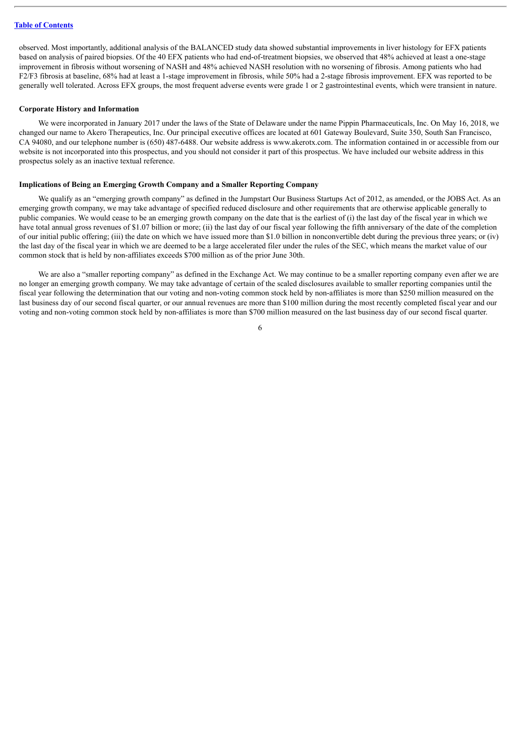observed. Most importantly, additional analysis of the BALANCED study data showed substantial improvements in liver histology for EFX patients based on analysis of paired biopsies. Of the 40 EFX patients who had end-of-treatment biopsies, we observed that 48% achieved at least a one-stage improvement in fibrosis without worsening of NASH and 48% achieved NASH resolution with no worsening of fibrosis. Among patients who had F2/F3 fibrosis at baseline, 68% had at least a 1-stage improvement in fibrosis, while 50% had a 2-stage fibrosis improvement. EFX was reported to be generally well tolerated. Across EFX groups, the most frequent adverse events were grade 1 or 2 gastrointestinal events, which were transient in nature.

### **Corporate History and Information**

We were incorporated in January 2017 under the laws of the State of Delaware under the name Pippin Pharmaceuticals, Inc. On May 16, 2018, we changed our name to Akero Therapeutics, Inc. Our principal executive offices are located at 601 Gateway Boulevard, Suite 350, South San Francisco, CA 94080, and our telephone number is (650) 487-6488. Our website address is www.akerotx.com. The information contained in or accessible from our website is not incorporated into this prospectus, and you should not consider it part of this prospectus. We have included our website address in this prospectus solely as an inactive textual reference.

### **Implications of Being an Emerging Growth Company and a Smaller Reporting Company**

We qualify as an "emerging growth company" as defined in the Jumpstart Our Business Startups Act of 2012, as amended, or the JOBS Act. As an emerging growth company, we may take advantage of specified reduced disclosure and other requirements that are otherwise applicable generally to public companies. We would cease to be an emerging growth company on the date that is the earliest of (i) the last day of the fiscal year in which we have total annual gross revenues of \$1.07 billion or more; (ii) the last day of our fiscal year following the fifth anniversary of the date of the completion of our initial public offering; (iii) the date on which we have issued more than \$1.0 billion in nonconvertible debt during the previous three years; or (iv) the last day of the fiscal year in which we are deemed to be a large accelerated filer under the rules of the SEC, which means the market value of our common stock that is held by non-affiliates exceeds \$700 million as of the prior June 30th.

We are also a "smaller reporting company" as defined in the Exchange Act. We may continue to be a smaller reporting company even after we are no longer an emerging growth company. We may take advantage of certain of the scaled disclosures available to smaller reporting companies until the fiscal year following the determination that our voting and non-voting common stock held by non-affiliates is more than \$250 million measured on the last business day of our second fiscal quarter, or our annual revenues are more than \$100 million during the most recently completed fiscal year and our voting and non-voting common stock held by non-affiliates is more than \$700 million measured on the last business day of our second fiscal quarter.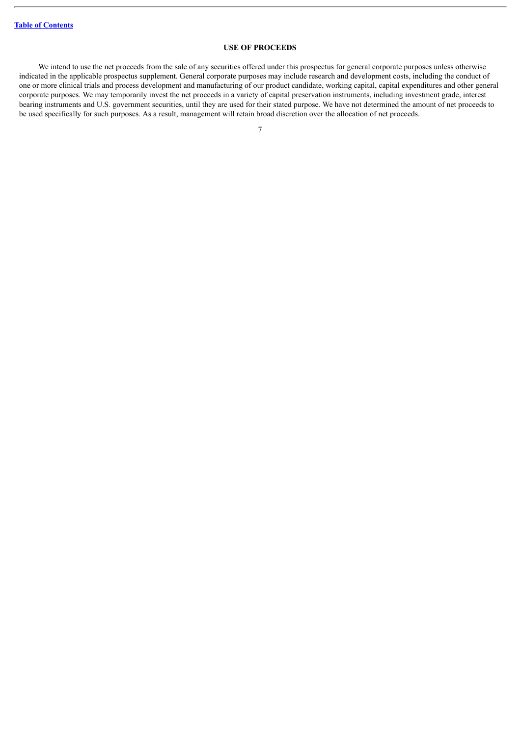# **USE OF PROCEEDS**

<span id="page-29-0"></span>We intend to use the net proceeds from the sale of any securities offered under this prospectus for general corporate purposes unless otherwise indicated in the applicable prospectus supplement. General corporate purposes may include research and development costs, including the conduct of one or more clinical trials and process development and manufacturing of our product candidate, working capital, capital expenditures and other general corporate purposes. We may temporarily invest the net proceeds in a variety of capital preservation instruments, including investment grade, interest bearing instruments and U.S. government securities, until they are used for their stated purpose. We have not determined the amount of net proceeds to be used specifically for such purposes. As a result, management will retain broad discretion over the allocation of net proceeds.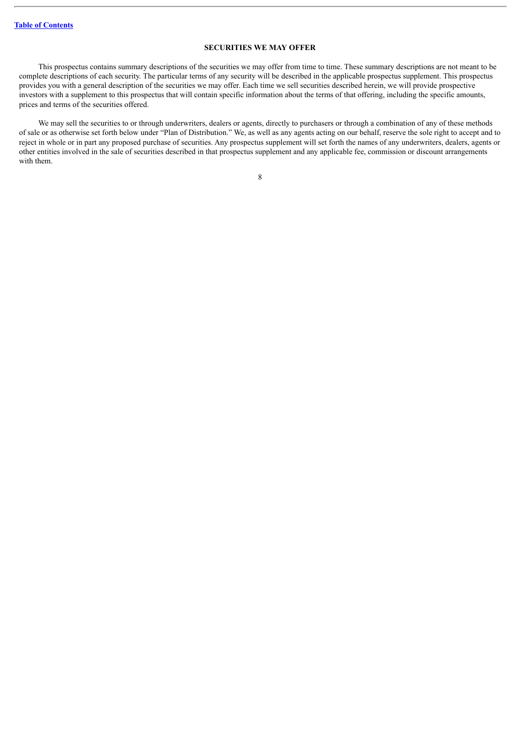# **SECURITIES WE MAY OFFER**

<span id="page-30-0"></span>This prospectus contains summary descriptions of the securities we may offer from time to time. These summary descriptions are not meant to be complete descriptions of each security. The particular terms of any security will be described in the applicable prospectus supplement. This prospectus provides you with a general description of the securities we may offer. Each time we sell securities described herein, we will provide prospective investors with a supplement to this prospectus that will contain specific information about the terms of that offering, including the specific amounts, prices and terms of the securities offered.

We may sell the securities to or through underwriters, dealers or agents, directly to purchasers or through a combination of any of these methods of sale or as otherwise set forth below under "Plan of Distribution." We, as well as any agents acting on our behalf, reserve the sole right to accept and to reject in whole or in part any proposed purchase of securities. Any prospectus supplement will set forth the names of any underwriters, dealers, agents or other entities involved in the sale of securities described in that prospectus supplement and any applicable fee, commission or discount arrangements with them.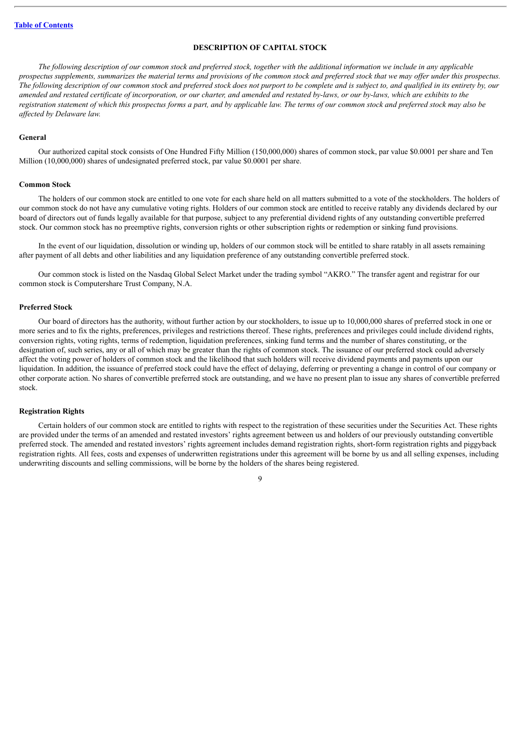# **DESCRIPTION OF CAPITAL STOCK**

<span id="page-31-0"></span>The following description of our common stock and preferred stock, together with the additional information we include in any applicable prospectus supplements, summarizes the material terms and provisions of the common stock and preferred stock that we may offer under this prospectus. The following description of our common stock and preferred stock does not purport to be complete and is subject to, and qualified in its entirety by, our amended and restated certificate of incorporation, or our charter, and amended and restated by-laws, or our by-laws, which are exhibits to the registration statement of which this prospectus forms a part, and by applicable law. The terms of our common stock and preferred stock may also be *af ected by Delaware law.*

# **General**

Our authorized capital stock consists of One Hundred Fifty Million (150,000,000) shares of common stock, par value \$0.0001 per share and Ten Million (10,000,000) shares of undesignated preferred stock, par value \$0.0001 per share.

# **Common Stock**

The holders of our common stock are entitled to one vote for each share held on all matters submitted to a vote of the stockholders. The holders of our common stock do not have any cumulative voting rights. Holders of our common stock are entitled to receive ratably any dividends declared by our board of directors out of funds legally available for that purpose, subject to any preferential dividend rights of any outstanding convertible preferred stock. Our common stock has no preemptive rights, conversion rights or other subscription rights or redemption or sinking fund provisions.

In the event of our liquidation, dissolution or winding up, holders of our common stock will be entitled to share ratably in all assets remaining after payment of all debts and other liabilities and any liquidation preference of any outstanding convertible preferred stock.

Our common stock is listed on the Nasdaq Global Select Market under the trading symbol "AKRO." The transfer agent and registrar for our common stock is Computershare Trust Company, N.A.

#### **Preferred Stock**

Our board of directors has the authority, without further action by our stockholders, to issue up to 10,000,000 shares of preferred stock in one or more series and to fix the rights, preferences, privileges and restrictions thereof. These rights, preferences and privileges could include dividend rights, conversion rights, voting rights, terms of redemption, liquidation preferences, sinking fund terms and the number of shares constituting, or the designation of, such series, any or all of which may be greater than the rights of common stock. The issuance of our preferred stock could adversely affect the voting power of holders of common stock and the likelihood that such holders will receive dividend payments and payments upon our liquidation. In addition, the issuance of preferred stock could have the effect of delaying, deferring or preventing a change in control of our company or other corporate action. No shares of convertible preferred stock are outstanding, and we have no present plan to issue any shares of convertible preferred stock.

#### **Registration Rights**

Certain holders of our common stock are entitled to rights with respect to the registration of these securities under the Securities Act. These rights are provided under the terms of an amended and restated investors' rights agreement between us and holders of our previously outstanding convertible preferred stock. The amended and restated investors' rights agreement includes demand registration rights, short-form registration rights and piggyback registration rights. All fees, costs and expenses of underwritten registrations under this agreement will be borne by us and all selling expenses, including underwriting discounts and selling commissions, will be borne by the holders of the shares being registered.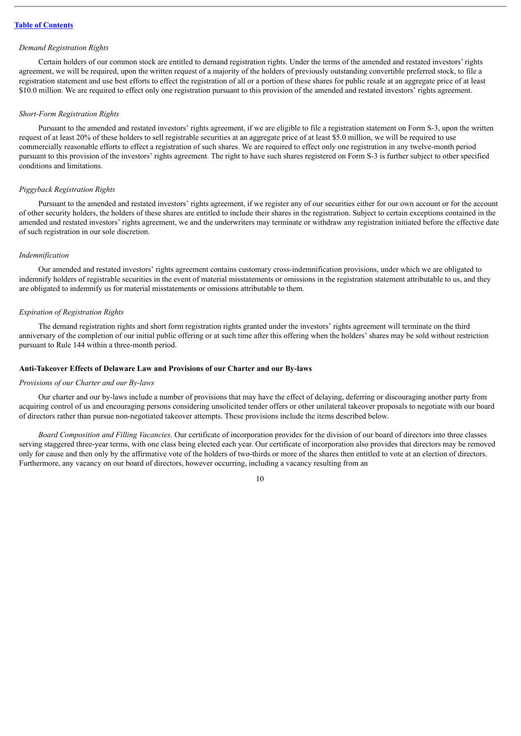### *Demand Registration Rights*

Certain holders of our common stock are entitled to demand registration rights. Under the terms of the amended and restated investors' rights agreement, we will be required, upon the written request of a majority of the holders of previously outstanding convertible preferred stock, to file a registration statement and use best efforts to effect the registration of all or a portion of these shares for public resale at an aggregate price of at least \$10.0 million. We are required to effect only one registration pursuant to this provision of the amended and restated investors' rights agreement.

#### *Short-Form Registration Rights*

Pursuant to the amended and restated investors' rights agreement, if we are eligible to file a registration statement on Form S-3, upon the written request of at least 20% of these holders to sell registrable securities at an aggregate price of at least \$5.0 million, we will be required to use commercially reasonable efforts to effect a registration of such shares. We are required to effect only one registration in any twelve-month period pursuant to this provision of the investors' rights agreement. The right to have such shares registered on Form S-3 is further subject to other specified conditions and limitations.

# *Piggyback Registration Rights*

Pursuant to the amended and restated investors' rights agreement, if we register any of our securities either for our own account or for the account of other security holders, the holders of these shares are entitled to include their shares in the registration. Subject to certain exceptions contained in the amended and restated investors' rights agreement, we and the underwriters may terminate or withdraw any registration initiated before the effective date of such registration in our sole discretion.

### *Indemnification*

Our amended and restated investors' rights agreement contains customary cross-indemnification provisions, under which we are obligated to indemnify holders of registrable securities in the event of material misstatements or omissions in the registration statement attributable to us, and they are obligated to indemnify us for material misstatements or omissions attributable to them.

### *Expiration of Registration Rights*

The demand registration rights and short form registration rights granted under the investors' rights agreement will terminate on the third anniversary of the completion of our initial public offering or at such time after this offering when the holders' shares may be sold without restriction pursuant to Rule 144 within a three-month period.

# **Anti-Takeover Effects of Delaware Law and Provisions of our Charter and our By-laws**

#### *Provisions of our Charter and our By-laws*

Our charter and our by-laws include a number of provisions that may have the effect of delaying, deferring or discouraging another party from acquiring control of us and encouraging persons considering unsolicited tender offers or other unilateral takeover proposals to negotiate with our board of directors rather than pursue non-negotiated takeover attempts. These provisions include the items described below.

*Board Composition and Filling Vacancies.* Our certificate of incorporation provides for the division of our board of directors into three classes serving staggered three-year terms, with one class being elected each year. Our certificate of incorporation also provides that directors may be removed only for cause and then only by the affirmative vote of the holders of two-thirds or more of the shares then entitled to vote at an election of directors. Furthermore, any vacancy on our board of directors, however occurring, including a vacancy resulting from an

 $1<sub>0</sub>$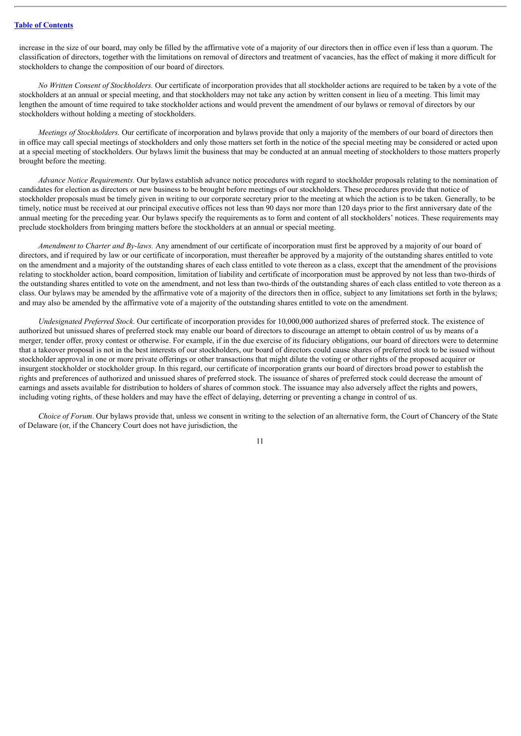increase in the size of our board, may only be filled by the affirmative vote of a majority of our directors then in office even if less than a quorum. The classification of directors, together with the limitations on removal of directors and treatment of vacancies, has the effect of making it more difficult for stockholders to change the composition of our board of directors.

*No Written Consent of Stockholders.* Our certificate of incorporation provides that all stockholder actions are required to be taken by a vote of the stockholders at an annual or special meeting, and that stockholders may not take any action by written consent in lieu of a meeting. This limit may lengthen the amount of time required to take stockholder actions and would prevent the amendment of our bylaws or removal of directors by our stockholders without holding a meeting of stockholders.

*Meetings of Stockholders.* Our certificate of incorporation and bylaws provide that only a majority of the members of our board of directors then in office may call special meetings of stockholders and only those matters set forth in the notice of the special meeting may be considered or acted upon at a special meeting of stockholders. Our bylaws limit the business that may be conducted at an annual meeting of stockholders to those matters properly brought before the meeting.

*Advance Notice Requirements.* Our bylaws establish advance notice procedures with regard to stockholder proposals relating to the nomination of candidates for election as directors or new business to be brought before meetings of our stockholders. These procedures provide that notice of stockholder proposals must be timely given in writing to our corporate secretary prior to the meeting at which the action is to be taken. Generally, to be timely, notice must be received at our principal executive offices not less than 90 days nor more than 120 days prior to the first anniversary date of the annual meeting for the preceding year. Our bylaws specify the requirements as to form and content of all stockholders' notices. These requirements may preclude stockholders from bringing matters before the stockholders at an annual or special meeting.

*Amendment to Charter and By-laws.* Any amendment of our certificate of incorporation must first be approved by a majority of our board of directors, and if required by law or our certificate of incorporation, must thereafter be approved by a majority of the outstanding shares entitled to vote on the amendment and a majority of the outstanding shares of each class entitled to vote thereon as a class, except that the amendment of the provisions relating to stockholder action, board composition, limitation of liability and certificate of incorporation must be approved by not less than two-thirds of the outstanding shares entitled to vote on the amendment, and not less than two-thirds of the outstanding shares of each class entitled to vote thereon as a class. Our bylaws may be amended by the affirmative vote of a majority of the directors then in office, subject to any limitations set forth in the bylaws; and may also be amended by the affirmative vote of a majority of the outstanding shares entitled to vote on the amendment.

*Undesignated Preferred Stock*. Our certificate of incorporation provides for 10,000,000 authorized shares of preferred stock. The existence of authorized but unissued shares of preferred stock may enable our board of directors to discourage an attempt to obtain control of us by means of a merger, tender offer, proxy contest or otherwise. For example, if in the due exercise of its fiduciary obligations, our board of directors were to determine that a takeover proposal is not in the best interests of our stockholders, our board of directors could cause shares of preferred stock to be issued without stockholder approval in one or more private offerings or other transactions that might dilute the voting or other rights of the proposed acquirer or insurgent stockholder or stockholder group. In this regard, our certificate of incorporation grants our board of directors broad power to establish the rights and preferences of authorized and unissued shares of preferred stock. The issuance of shares of preferred stock could decrease the amount of earnings and assets available for distribution to holders of shares of common stock. The issuance may also adversely affect the rights and powers, including voting rights, of these holders and may have the effect of delaying, deterring or preventing a change in control of us.

*Choice of Forum*. Our bylaws provide that, unless we consent in writing to the selection of an alternative form, the Court of Chancery of the State of Delaware (or, if the Chancery Court does not have jurisdiction, the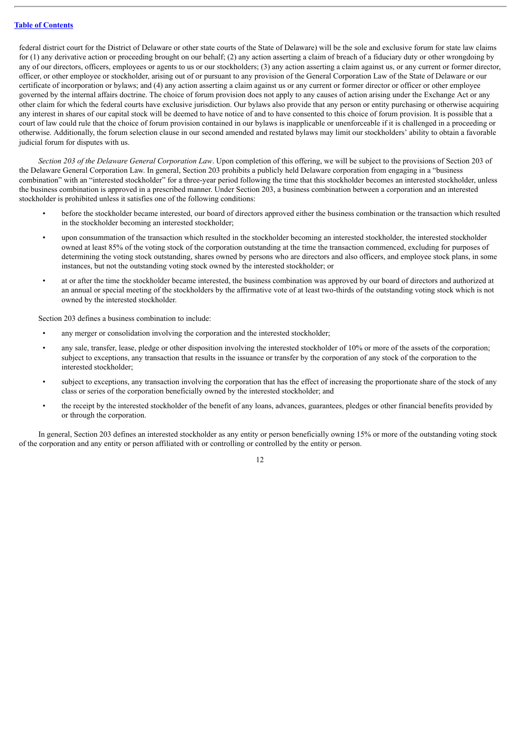federal district court for the District of Delaware or other state courts of the State of Delaware) will be the sole and exclusive forum for state law claims for (1) any derivative action or proceeding brought on our behalf; (2) any action asserting a claim of breach of a fiduciary duty or other wrongdoing by any of our directors, officers, employees or agents to us or our stockholders; (3) any action asserting a claim against us, or any current or former director, officer, or other employee or stockholder, arising out of or pursuant to any provision of the General Corporation Law of the State of Delaware or our certificate of incorporation or bylaws; and (4) any action asserting a claim against us or any current or former director or officer or other employee governed by the internal affairs doctrine. The choice of forum provision does not apply to any causes of action arising under the Exchange Act or any other claim for which the federal courts have exclusive jurisdiction. Our bylaws also provide that any person or entity purchasing or otherwise acquiring any interest in shares of our capital stock will be deemed to have notice of and to have consented to this choice of forum provision. It is possible that a court of law could rule that the choice of forum provision contained in our bylaws is inapplicable or unenforceable if it is challenged in a proceeding or otherwise. Additionally, the forum selection clause in our second amended and restated bylaws may limit our stockholders' ability to obtain a favorable judicial forum for disputes with us.

*Section 203 of the Delaware General Corporation Law*. Upon completion of this offering, we will be subject to the provisions of Section 203 of the Delaware General Corporation Law. In general, Section 203 prohibits a publicly held Delaware corporation from engaging in a "business combination" with an "interested stockholder" for a three-year period following the time that this stockholder becomes an interested stockholder, unless the business combination is approved in a prescribed manner. Under Section 203, a business combination between a corporation and an interested stockholder is prohibited unless it satisfies one of the following conditions:

- before the stockholder became interested, our board of directors approved either the business combination or the transaction which resulted in the stockholder becoming an interested stockholder;
- upon consummation of the transaction which resulted in the stockholder becoming an interested stockholder, the interested stockholder owned at least 85% of the voting stock of the corporation outstanding at the time the transaction commenced, excluding for purposes of determining the voting stock outstanding, shares owned by persons who are directors and also officers, and employee stock plans, in some instances, but not the outstanding voting stock owned by the interested stockholder; or
- at or after the time the stockholder became interested, the business combination was approved by our board of directors and authorized at an annual or special meeting of the stockholders by the affirmative vote of at least two-thirds of the outstanding voting stock which is not owned by the interested stockholder.

Section 203 defines a business combination to include:

- any merger or consolidation involving the corporation and the interested stockholder;
- any sale, transfer, lease, pledge or other disposition involving the interested stockholder of 10% or more of the assets of the corporation; subject to exceptions, any transaction that results in the issuance or transfer by the corporation of any stock of the corporation to the interested stockholder;
- subject to exceptions, any transaction involving the corporation that has the effect of increasing the proportionate share of the stock of any class or series of the corporation beneficially owned by the interested stockholder; and
- the receipt by the interested stockholder of the benefit of any loans, advances, guarantees, pledges or other financial benefits provided by or through the corporation.

In general, Section 203 defines an interested stockholder as any entity or person beneficially owning 15% or more of the outstanding voting stock of the corporation and any entity or person affiliated with or controlling or controlled by the entity or person.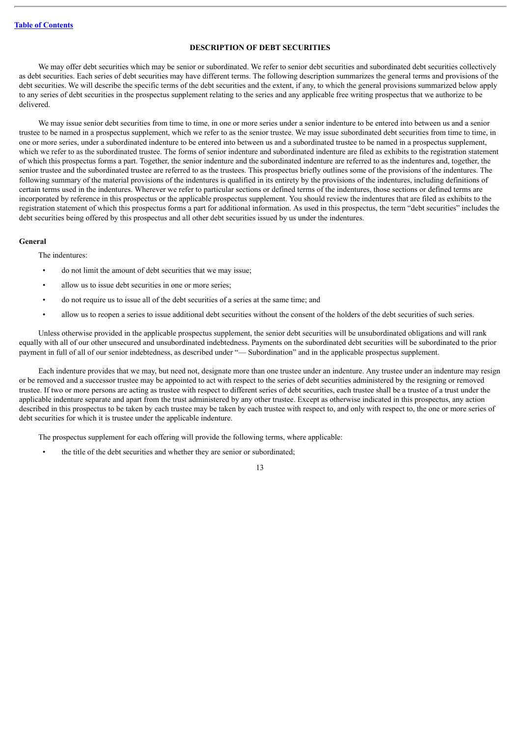# **DESCRIPTION OF DEBT SECURITIES**

<span id="page-35-0"></span>We may offer debt securities which may be senior or subordinated. We refer to senior debt securities and subordinated debt securities collectively as debt securities. Each series of debt securities may have different terms. The following description summarizes the general terms and provisions of the debt securities. We will describe the specific terms of the debt securities and the extent, if any, to which the general provisions summarized below apply to any series of debt securities in the prospectus supplement relating to the series and any applicable free writing prospectus that we authorize to be delivered.

We may issue senior debt securities from time to time, in one or more series under a senior indenture to be entered into between us and a senior trustee to be named in a prospectus supplement, which we refer to as the senior trustee. We may issue subordinated debt securities from time to time, in one or more series, under a subordinated indenture to be entered into between us and a subordinated trustee to be named in a prospectus supplement, which we refer to as the subordinated trustee. The forms of senior indenture and subordinated indenture are filed as exhibits to the registration statement of which this prospectus forms a part. Together, the senior indenture and the subordinated indenture are referred to as the indentures and, together, the senior trustee and the subordinated trustee are referred to as the trustees. This prospectus briefly outlines some of the provisions of the indentures. The following summary of the material provisions of the indentures is qualified in its entirety by the provisions of the indentures, including definitions of certain terms used in the indentures. Wherever we refer to particular sections or defined terms of the indentures, those sections or defined terms are incorporated by reference in this prospectus or the applicable prospectus supplement. You should review the indentures that are filed as exhibits to the registration statement of which this prospectus forms a part for additional information. As used in this prospectus, the term "debt securities" includes the debt securities being offered by this prospectus and all other debt securities issued by us under the indentures.

### **General**

The indentures:

- do not limit the amount of debt securities that we may issue;
- allow us to issue debt securities in one or more series:
- do not require us to issue all of the debt securities of a series at the same time; and
- allow us to reopen a series to issue additional debt securities without the consent of the holders of the debt securities of such series.

Unless otherwise provided in the applicable prospectus supplement, the senior debt securities will be unsubordinated obligations and will rank equally with all of our other unsecured and unsubordinated indebtedness. Payments on the subordinated debt securities will be subordinated to the prior payment in full of all of our senior indebtedness, as described under "— Subordination" and in the applicable prospectus supplement.

Each indenture provides that we may, but need not, designate more than one trustee under an indenture. Any trustee under an indenture may resign or be removed and a successor trustee may be appointed to act with respect to the series of debt securities administered by the resigning or removed trustee. If two or more persons are acting as trustee with respect to different series of debt securities, each trustee shall be a trustee of a trust under the applicable indenture separate and apart from the trust administered by any other trustee. Except as otherwise indicated in this prospectus, any action described in this prospectus to be taken by each trustee may be taken by each trustee with respect to, and only with respect to, the one or more series of debt securities for which it is trustee under the applicable indenture.

The prospectus supplement for each offering will provide the following terms, where applicable:

the title of the debt securities and whether they are senior or subordinated;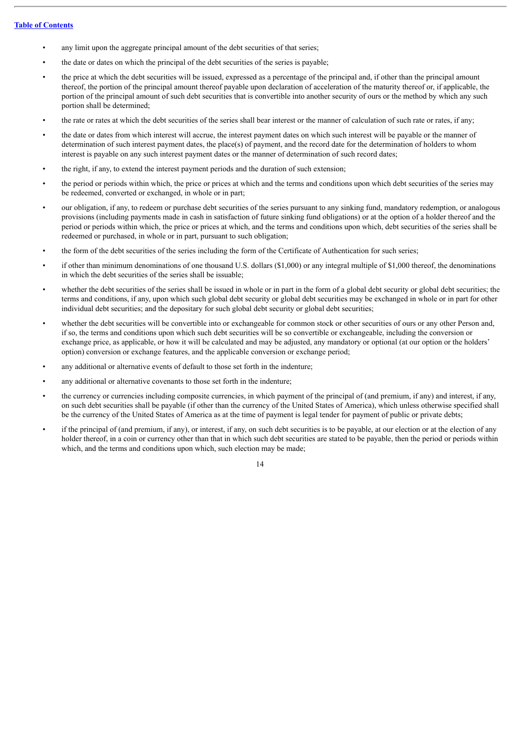- any limit upon the aggregate principal amount of the debt securities of that series;
- the date or dates on which the principal of the debt securities of the series is payable;
- the price at which the debt securities will be issued, expressed as a percentage of the principal and, if other than the principal amount thereof, the portion of the principal amount thereof payable upon declaration of acceleration of the maturity thereof or, if applicable, the portion of the principal amount of such debt securities that is convertible into another security of ours or the method by which any such portion shall be determined;
- the rate or rates at which the debt securities of the series shall bear interest or the manner of calculation of such rate or rates, if any;
- the date or dates from which interest will accrue, the interest payment dates on which such interest will be payable or the manner of determination of such interest payment dates, the place(s) of payment, and the record date for the determination of holders to whom interest is payable on any such interest payment dates or the manner of determination of such record dates;
- the right, if any, to extend the interest payment periods and the duration of such extension;
- the period or periods within which, the price or prices at which and the terms and conditions upon which debt securities of the series may be redeemed, converted or exchanged, in whole or in part;
- our obligation, if any, to redeem or purchase debt securities of the series pursuant to any sinking fund, mandatory redemption, or analogous provisions (including payments made in cash in satisfaction of future sinking fund obligations) or at the option of a holder thereof and the period or periods within which, the price or prices at which, and the terms and conditions upon which, debt securities of the series shall be redeemed or purchased, in whole or in part, pursuant to such obligation;
- the form of the debt securities of the series including the form of the Certificate of Authentication for such series;
- if other than minimum denominations of one thousand U.S. dollars (\$1,000) or any integral multiple of \$1,000 thereof, the denominations in which the debt securities of the series shall be issuable;
- whether the debt securities of the series shall be issued in whole or in part in the form of a global debt security or global debt securities; the terms and conditions, if any, upon which such global debt security or global debt securities may be exchanged in whole or in part for other individual debt securities; and the depositary for such global debt security or global debt securities;
- whether the debt securities will be convertible into or exchangeable for common stock or other securities of ours or any other Person and, if so, the terms and conditions upon which such debt securities will be so convertible or exchangeable, including the conversion or exchange price, as applicable, or how it will be calculated and may be adjusted, any mandatory or optional (at our option or the holders' option) conversion or exchange features, and the applicable conversion or exchange period;
- any additional or alternative events of default to those set forth in the indenture;
- any additional or alternative covenants to those set forth in the indenture;
- the currency or currencies including composite currencies, in which payment of the principal of (and premium, if any) and interest, if any, on such debt securities shall be payable (if other than the currency of the United States of America), which unless otherwise specified shall be the currency of the United States of America as at the time of payment is legal tender for payment of public or private debts;
- if the principal of (and premium, if any), or interest, if any, on such debt securities is to be payable, at our election or at the election of any holder thereof, in a coin or currency other than that in which such debt securities are stated to be payable, then the period or periods within which, and the terms and conditions upon which, such election may be made;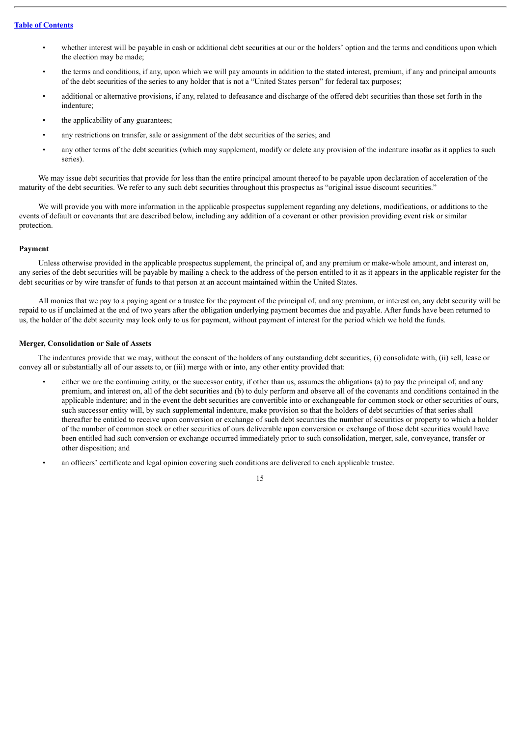- whether interest will be payable in cash or additional debt securities at our or the holders' option and the terms and conditions upon which the election may be made;
- the terms and conditions, if any, upon which we will pay amounts in addition to the stated interest, premium, if any and principal amounts of the debt securities of the series to any holder that is not a "United States person" for federal tax purposes;
- additional or alternative provisions, if any, related to defeasance and discharge of the offered debt securities than those set forth in the indenture;
- the applicability of any guarantees;
- any restrictions on transfer, sale or assignment of the debt securities of the series; and
- any other terms of the debt securities (which may supplement, modify or delete any provision of the indenture insofar as it applies to such series).

We may issue debt securities that provide for less than the entire principal amount thereof to be payable upon declaration of acceleration of the maturity of the debt securities. We refer to any such debt securities throughout this prospectus as "original issue discount securities."

We will provide you with more information in the applicable prospectus supplement regarding any deletions, modifications, or additions to the events of default or covenants that are described below, including any addition of a covenant or other provision providing event risk or similar protection.

# **Payment**

Unless otherwise provided in the applicable prospectus supplement, the principal of, and any premium or make-whole amount, and interest on, any series of the debt securities will be payable by mailing a check to the address of the person entitled to it as it appears in the applicable register for the debt securities or by wire transfer of funds to that person at an account maintained within the United States.

All monies that we pay to a paying agent or a trustee for the payment of the principal of, and any premium, or interest on, any debt security will be repaid to us if unclaimed at the end of two years after the obligation underlying payment becomes due and payable. After funds have been returned to us, the holder of the debt security may look only to us for payment, without payment of interest for the period which we hold the funds.

# **Merger, Consolidation or Sale of Assets**

The indentures provide that we may, without the consent of the holders of any outstanding debt securities, (i) consolidate with, (ii) sell, lease or convey all or substantially all of our assets to, or (iii) merge with or into, any other entity provided that:

- either we are the continuing entity, or the successor entity, if other than us, assumes the obligations (a) to pay the principal of, and any premium, and interest on, all of the debt securities and (b) to duly perform and observe all of the covenants and conditions contained in the applicable indenture; and in the event the debt securities are convertible into or exchangeable for common stock or other securities of ours, such successor entity will, by such supplemental indenture, make provision so that the holders of debt securities of that series shall thereafter be entitled to receive upon conversion or exchange of such debt securities the number of securities or property to which a holder of the number of common stock or other securities of ours deliverable upon conversion or exchange of those debt securities would have been entitled had such conversion or exchange occurred immediately prior to such consolidation, merger, sale, conveyance, transfer or other disposition; and
- an officers' certificate and legal opinion covering such conditions are delivered to each applicable trustee.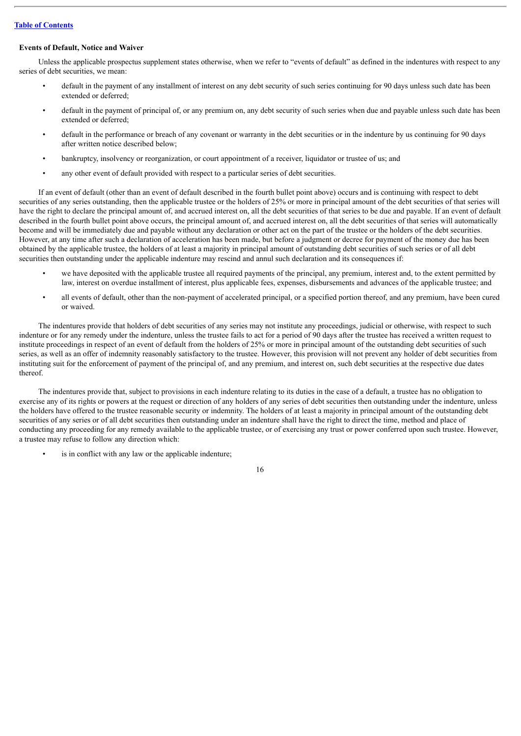# **Events of Default, Notice and Waiver**

Unless the applicable prospectus supplement states otherwise, when we refer to "events of default" as defined in the indentures with respect to any series of debt securities, we mean:

- default in the payment of any installment of interest on any debt security of such series continuing for 90 days unless such date has been extended or deferred;
- default in the payment of principal of, or any premium on, any debt security of such series when due and payable unless such date has been extended or deferred;
- default in the performance or breach of any covenant or warranty in the debt securities or in the indenture by us continuing for 90 days after written notice described below;
- bankruptcy, insolvency or reorganization, or court appointment of a receiver, liquidator or trustee of us; and
- any other event of default provided with respect to a particular series of debt securities.

If an event of default (other than an event of default described in the fourth bullet point above) occurs and is continuing with respect to debt securities of any series outstanding, then the applicable trustee or the holders of 25% or more in principal amount of the debt securities of that series will have the right to declare the principal amount of, and accrued interest on, all the debt securities of that series to be due and payable. If an event of default described in the fourth bullet point above occurs, the principal amount of, and accrued interest on, all the debt securities of that series will automatically become and will be immediately due and payable without any declaration or other act on the part of the trustee or the holders of the debt securities. However, at any time after such a declaration of acceleration has been made, but before a judgment or decree for payment of the money due has been obtained by the applicable trustee, the holders of at least a majority in principal amount of outstanding debt securities of such series or of all debt securities then outstanding under the applicable indenture may rescind and annul such declaration and its consequences if:

- we have deposited with the applicable trustee all required payments of the principal, any premium, interest and, to the extent permitted by law, interest on overdue installment of interest, plus applicable fees, expenses, disbursements and advances of the applicable trustee; and
- all events of default, other than the non-payment of accelerated principal, or a specified portion thereof, and any premium, have been cured or waived.

The indentures provide that holders of debt securities of any series may not institute any proceedings, judicial or otherwise, with respect to such indenture or for any remedy under the indenture, unless the trustee fails to act for a period of 90 days after the trustee has received a written request to institute proceedings in respect of an event of default from the holders of 25% or more in principal amount of the outstanding debt securities of such series, as well as an offer of indemnity reasonably satisfactory to the trustee. However, this provision will not prevent any holder of debt securities from instituting suit for the enforcement of payment of the principal of, and any premium, and interest on, such debt securities at the respective due dates thereof.

The indentures provide that, subject to provisions in each indenture relating to its duties in the case of a default, a trustee has no obligation to exercise any of its rights or powers at the request or direction of any holders of any series of debt securities then outstanding under the indenture, unless the holders have offered to the trustee reasonable security or indemnity. The holders of at least a majority in principal amount of the outstanding debt securities of any series or of all debt securities then outstanding under an indenture shall have the right to direct the time, method and place of conducting any proceeding for any remedy available to the applicable trustee, or of exercising any trust or power conferred upon such trustee. However, a trustee may refuse to follow any direction which:

is in conflict with any law or the applicable indenture;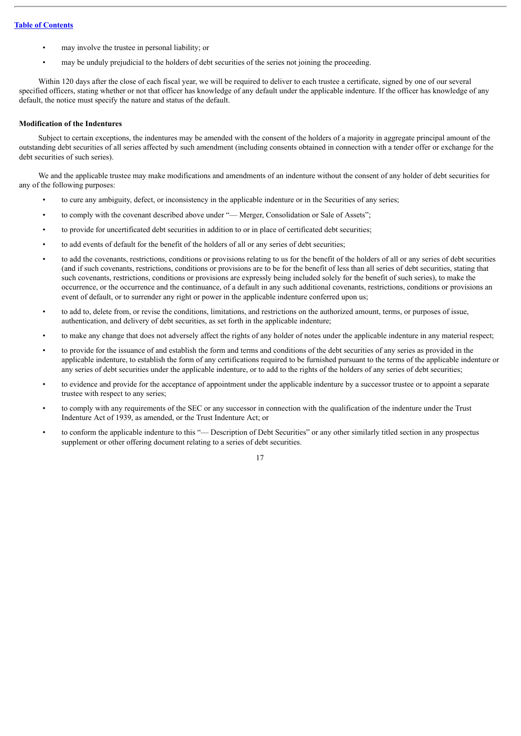- may involve the trustee in personal liability; or
- may be unduly prejudicial to the holders of debt securities of the series not joining the proceeding.

Within 120 days after the close of each fiscal year, we will be required to deliver to each trustee a certificate, signed by one of our several specified officers, stating whether or not that officer has knowledge of any default under the applicable indenture. If the officer has knowledge of any default, the notice must specify the nature and status of the default.

# **Modification of the Indentures**

Subject to certain exceptions, the indentures may be amended with the consent of the holders of a majority in aggregate principal amount of the outstanding debt securities of all series affected by such amendment (including consents obtained in connection with a tender offer or exchange for the debt securities of such series).

We and the applicable trustee may make modifications and amendments of an indenture without the consent of any holder of debt securities for any of the following purposes:

- to cure any ambiguity, defect, or inconsistency in the applicable indenture or in the Securities of any series;
- to comply with the covenant described above under "-Merger, Consolidation or Sale of Assets";
- to provide for uncertificated debt securities in addition to or in place of certificated debt securities;
- to add events of default for the benefit of the holders of all or any series of debt securities;
- to add the covenants, restrictions, conditions or provisions relating to us for the benefit of the holders of all or any series of debt securities (and if such covenants, restrictions, conditions or provisions are to be for the benefit of less than all series of debt securities, stating that such covenants, restrictions, conditions or provisions are expressly being included solely for the benefit of such series), to make the occurrence, or the occurrence and the continuance, of a default in any such additional covenants, restrictions, conditions or provisions an event of default, or to surrender any right or power in the applicable indenture conferred upon us;
- to add to, delete from, or revise the conditions, limitations, and restrictions on the authorized amount, terms, or purposes of issue, authentication, and delivery of debt securities, as set forth in the applicable indenture;
- to make any change that does not adversely affect the rights of any holder of notes under the applicable indenture in any material respect;
- to provide for the issuance of and establish the form and terms and conditions of the debt securities of any series as provided in the applicable indenture, to establish the form of any certifications required to be furnished pursuant to the terms of the applicable indenture or any series of debt securities under the applicable indenture, or to add to the rights of the holders of any series of debt securities;
- to evidence and provide for the acceptance of appointment under the applicable indenture by a successor trustee or to appoint a separate trustee with respect to any series;
- to comply with any requirements of the SEC or any successor in connection with the qualification of the indenture under the Trust Indenture Act of 1939, as amended, or the Trust Indenture Act; or
- to conform the applicable indenture to this "— Description of Debt Securities" or any other similarly titled section in any prospectus supplement or other offering document relating to a series of debt securities.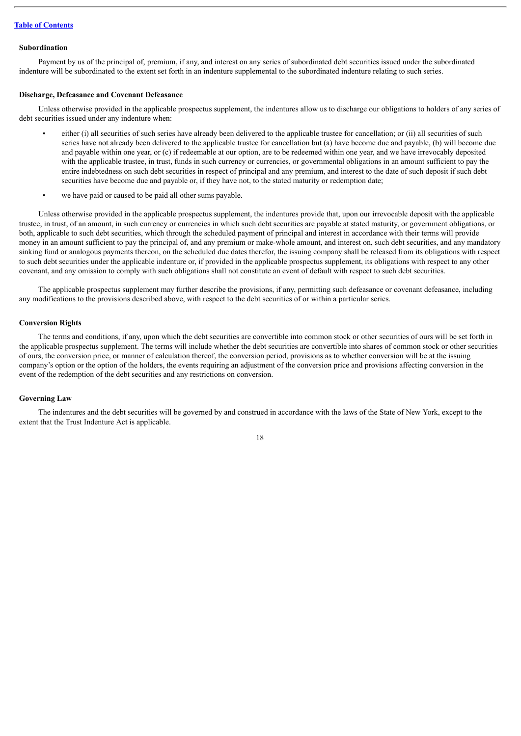#### **Subordination**

Payment by us of the principal of, premium, if any, and interest on any series of subordinated debt securities issued under the subordinated indenture will be subordinated to the extent set forth in an indenture supplemental to the subordinated indenture relating to such series.

# **Discharge, Defeasance and Covenant Defeasance**

Unless otherwise provided in the applicable prospectus supplement, the indentures allow us to discharge our obligations to holders of any series of debt securities issued under any indenture when:

- either (i) all securities of such series have already been delivered to the applicable trustee for cancellation; or (ii) all securities of such series have not already been delivered to the applicable trustee for cancellation but (a) have become due and payable, (b) will become due and payable within one year, or (c) if redeemable at our option, are to be redeemed within one year, and we have irrevocably deposited with the applicable trustee, in trust, funds in such currency or currencies, or governmental obligations in an amount sufficient to pay the entire indebtedness on such debt securities in respect of principal and any premium, and interest to the date of such deposit if such debt securities have become due and payable or, if they have not, to the stated maturity or redemption date;
- we have paid or caused to be paid all other sums payable.

Unless otherwise provided in the applicable prospectus supplement, the indentures provide that, upon our irrevocable deposit with the applicable trustee, in trust, of an amount, in such currency or currencies in which such debt securities are payable at stated maturity, or government obligations, or both, applicable to such debt securities, which through the scheduled payment of principal and interest in accordance with their terms will provide money in an amount sufficient to pay the principal of, and any premium or make-whole amount, and interest on, such debt securities, and any mandatory sinking fund or analogous payments thereon, on the scheduled due dates therefor, the issuing company shall be released from its obligations with respect to such debt securities under the applicable indenture or, if provided in the applicable prospectus supplement, its obligations with respect to any other covenant, and any omission to comply with such obligations shall not constitute an event of default with respect to such debt securities.

The applicable prospectus supplement may further describe the provisions, if any, permitting such defeasance or covenant defeasance, including any modifications to the provisions described above, with respect to the debt securities of or within a particular series.

### **Conversion Rights**

The terms and conditions, if any, upon which the debt securities are convertible into common stock or other securities of ours will be set forth in the applicable prospectus supplement. The terms will include whether the debt securities are convertible into shares of common stock or other securities of ours, the conversion price, or manner of calculation thereof, the conversion period, provisions as to whether conversion will be at the issuing company's option or the option of the holders, the events requiring an adjustment of the conversion price and provisions affecting conversion in the event of the redemption of the debt securities and any restrictions on conversion.

## **Governing Law**

The indentures and the debt securities will be governed by and construed in accordance with the laws of the State of New York, except to the extent that the Trust Indenture Act is applicable.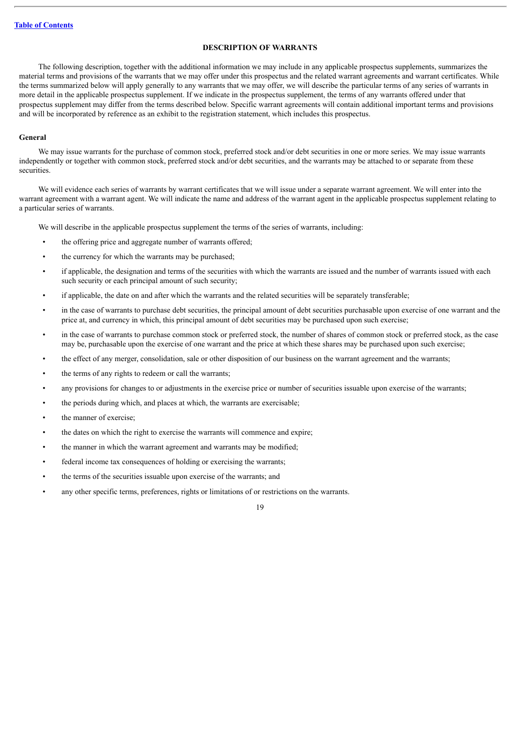# **DESCRIPTION OF WARRANTS**

<span id="page-41-0"></span>The following description, together with the additional information we may include in any applicable prospectus supplements, summarizes the material terms and provisions of the warrants that we may offer under this prospectus and the related warrant agreements and warrant certificates. While the terms summarized below will apply generally to any warrants that we may offer, we will describe the particular terms of any series of warrants in more detail in the applicable prospectus supplement. If we indicate in the prospectus supplement, the terms of any warrants offered under that prospectus supplement may differ from the terms described below. Specific warrant agreements will contain additional important terms and provisions and will be incorporated by reference as an exhibit to the registration statement, which includes this prospectus.

# **General**

We may issue warrants for the purchase of common stock, preferred stock and/or debt securities in one or more series. We may issue warrants independently or together with common stock, preferred stock and/or debt securities, and the warrants may be attached to or separate from these **securities** 

We will evidence each series of warrants by warrant certificates that we will issue under a separate warrant agreement. We will enter into the warrant agreement with a warrant agent. We will indicate the name and address of the warrant agent in the applicable prospectus supplement relating to a particular series of warrants.

We will describe in the applicable prospectus supplement the terms of the series of warrants, including:

- the offering price and aggregate number of warrants offered;
- the currency for which the warrants may be purchased;
- if applicable, the designation and terms of the securities with which the warrants are issued and the number of warrants issued with each such security or each principal amount of such security;
- if applicable, the date on and after which the warrants and the related securities will be separately transferable;
- in the case of warrants to purchase debt securities, the principal amount of debt securities purchasable upon exercise of one warrant and the price at, and currency in which, this principal amount of debt securities may be purchased upon such exercise;
- in the case of warrants to purchase common stock or preferred stock, the number of shares of common stock or preferred stock, as the case may be, purchasable upon the exercise of one warrant and the price at which these shares may be purchased upon such exercise;
- the effect of any merger, consolidation, sale or other disposition of our business on the warrant agreement and the warrants;
- the terms of any rights to redeem or call the warrants;
- any provisions for changes to or adjustments in the exercise price or number of securities issuable upon exercise of the warrants;
- the periods during which, and places at which, the warrants are exercisable;
- the manner of exercise:
- the dates on which the right to exercise the warrants will commence and expire;
- the manner in which the warrant agreement and warrants may be modified:
- federal income tax consequences of holding or exercising the warrants;
- the terms of the securities issuable upon exercise of the warrants; and
- any other specific terms, preferences, rights or limitations of or restrictions on the warrants.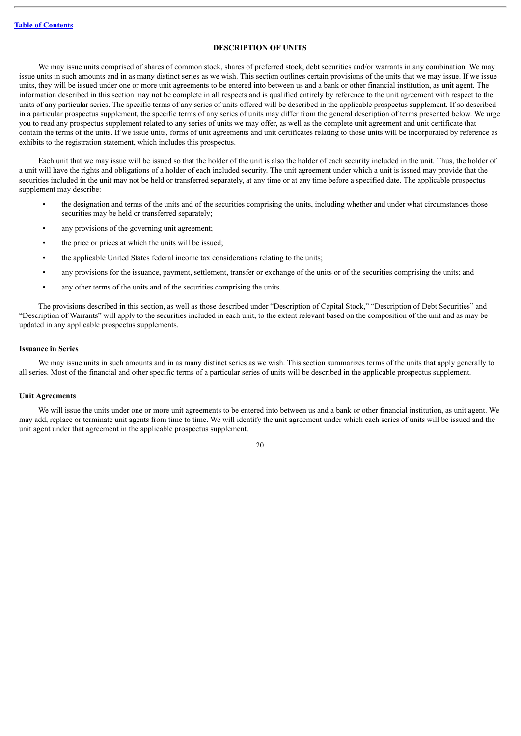# **DESCRIPTION OF UNITS**

<span id="page-42-0"></span>We may issue units comprised of shares of common stock, shares of preferred stock, debt securities and/or warrants in any combination. We may issue units in such amounts and in as many distinct series as we wish. This section outlines certain provisions of the units that we may issue. If we issue units, they will be issued under one or more unit agreements to be entered into between us and a bank or other financial institution, as unit agent. The information described in this section may not be complete in all respects and is qualified entirely by reference to the unit agreement with respect to the units of any particular series. The specific terms of any series of units offered will be described in the applicable prospectus supplement. If so described in a particular prospectus supplement, the specific terms of any series of units may differ from the general description of terms presented below. We urge you to read any prospectus supplement related to any series of units we may offer, as well as the complete unit agreement and unit certificate that contain the terms of the units. If we issue units, forms of unit agreements and unit certificates relating to those units will be incorporated by reference as exhibits to the registration statement, which includes this prospectus.

Each unit that we may issue will be issued so that the holder of the unit is also the holder of each security included in the unit. Thus, the holder of a unit will have the rights and obligations of a holder of each included security. The unit agreement under which a unit is issued may provide that the securities included in the unit may not be held or transferred separately, at any time or at any time before a specified date. The applicable prospectus supplement may describe:

- the designation and terms of the units and of the securities comprising the units, including whether and under what circumstances those securities may be held or transferred separately;
- any provisions of the governing unit agreement:
- the price or prices at which the units will be issued;
- the applicable United States federal income tax considerations relating to the units;
- any provisions for the issuance, payment, settlement, transfer or exchange of the units or of the securities comprising the units; and
- any other terms of the units and of the securities comprising the units.

The provisions described in this section, as well as those described under "Description of Capital Stock," "Description of Debt Securities" and "Description of Warrants" will apply to the securities included in each unit, to the extent relevant based on the composition of the unit and as may be updated in any applicable prospectus supplements.

### **Issuance in Series**

We may issue units in such amounts and in as many distinct series as we wish. This section summarizes terms of the units that apply generally to all series. Most of the financial and other specific terms of a particular series of units will be described in the applicable prospectus supplement.

# **Unit Agreements**

We will issue the units under one or more unit agreements to be entered into between us and a bank or other financial institution, as unit agent. We may add, replace or terminate unit agents from time to time. We will identify the unit agreement under which each series of units will be issued and the unit agent under that agreement in the applicable prospectus supplement.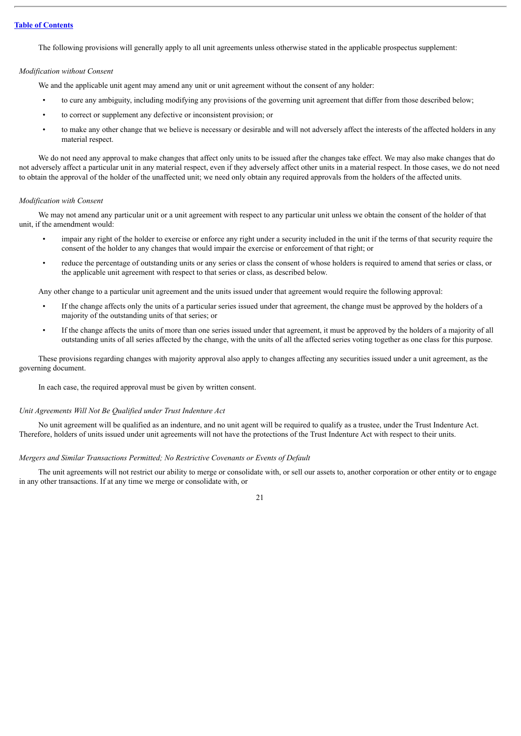The following provisions will generally apply to all unit agreements unless otherwise stated in the applicable prospectus supplement:

# *Modification without Consent*

We and the applicable unit agent may amend any unit or unit agreement without the consent of any holder:

- to cure any ambiguity, including modifying any provisions of the governing unit agreement that differ from those described below;
- to correct or supplement any defective or inconsistent provision; or
- to make any other change that we believe is necessary or desirable and will not adversely affect the interests of the affected holders in any material respect.

We do not need any approval to make changes that affect only units to be issued after the changes take effect. We may also make changes that do not adversely affect a particular unit in any material respect, even if they adversely affect other units in a material respect. In those cases, we do not need to obtain the approval of the holder of the unaffected unit; we need only obtain any required approvals from the holders of the affected units.

# *Modification with Consent*

We may not amend any particular unit or a unit agreement with respect to any particular unit unless we obtain the consent of the holder of that unit, if the amendment would:

- impair any right of the holder to exercise or enforce any right under a security included in the unit if the terms of that security require the consent of the holder to any changes that would impair the exercise or enforcement of that right; or
- reduce the percentage of outstanding units or any series or class the consent of whose holders is required to amend that series or class, or the applicable unit agreement with respect to that series or class, as described below.

Any other change to a particular unit agreement and the units issued under that agreement would require the following approval:

- If the change affects only the units of a particular series issued under that agreement, the change must be approved by the holders of a majority of the outstanding units of that series; or
- If the change affects the units of more than one series issued under that agreement, it must be approved by the holders of a majority of all outstanding units of all series affected by the change, with the units of all the affected series voting together as one class for this purpose.

These provisions regarding changes with majority approval also apply to changes affecting any securities issued under a unit agreement, as the governing document.

In each case, the required approval must be given by written consent.

### *Unit Agreements Will Not Be Qualified under Trust Indenture Act*

No unit agreement will be qualified as an indenture, and no unit agent will be required to qualify as a trustee, under the Trust Indenture Act. Therefore, holders of units issued under unit agreements will not have the protections of the Trust Indenture Act with respect to their units.

### *Mergers and Similar Transactions Permitted; No Restrictive Covenants or Events of Default*

The unit agreements will not restrict our ability to merge or consolidate with, or sell our assets to, another corporation or other entity or to engage in any other transactions. If at any time we merge or consolidate with, or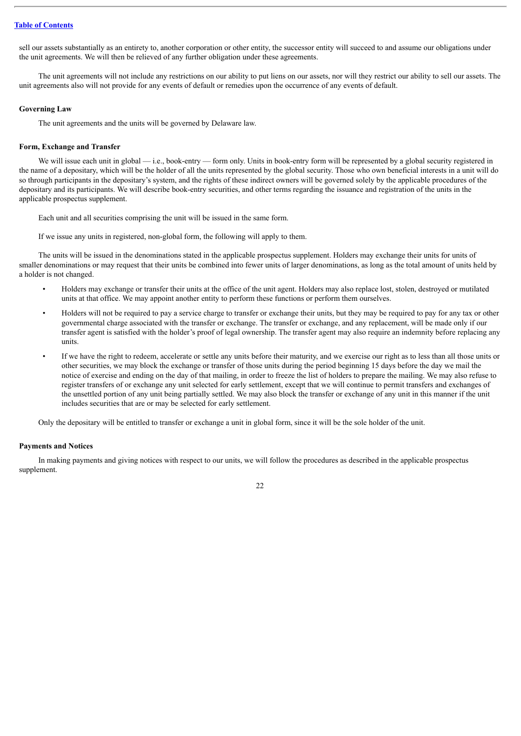sell our assets substantially as an entirety to, another corporation or other entity, the successor entity will succeed to and assume our obligations under the unit agreements. We will then be relieved of any further obligation under these agreements.

The unit agreements will not include any restrictions on our ability to put liens on our assets, nor will they restrict our ability to sell our assets. The unit agreements also will not provide for any events of default or remedies upon the occurrence of any events of default.

# **Governing Law**

The unit agreements and the units will be governed by Delaware law.

### **Form, Exchange and Transfer**

We will issue each unit in global  $-$  i.e., book-entry  $-$  form only. Units in book-entry form will be represented by a global security registered in the name of a depositary, which will be the holder of all the units represented by the global security. Those who own beneficial interests in a unit will do so through participants in the depositary's system, and the rights of these indirect owners will be governed solely by the applicable procedures of the depositary and its participants. We will describe book-entry securities, and other terms regarding the issuance and registration of the units in the applicable prospectus supplement.

Each unit and all securities comprising the unit will be issued in the same form.

If we issue any units in registered, non-global form, the following will apply to them.

The units will be issued in the denominations stated in the applicable prospectus supplement. Holders may exchange their units for units of smaller denominations or may request that their units be combined into fewer units of larger denominations, as long as the total amount of units held by a holder is not changed.

- Holders may exchange or transfer their units at the office of the unit agent. Holders may also replace lost, stolen, destroyed or mutilated units at that office. We may appoint another entity to perform these functions or perform them ourselves.
- Holders will not be required to pay a service charge to transfer or exchange their units, but they may be required to pay for any tax or other governmental charge associated with the transfer or exchange. The transfer or exchange, and any replacement, will be made only if our transfer agent is satisfied with the holder's proof of legal ownership. The transfer agent may also require an indemnity before replacing any units.
- If we have the right to redeem, accelerate or settle any units before their maturity, and we exercise our right as to less than all those units or other securities, we may block the exchange or transfer of those units during the period beginning 15 days before the day we mail the notice of exercise and ending on the day of that mailing, in order to freeze the list of holders to prepare the mailing. We may also refuse to register transfers of or exchange any unit selected for early settlement, except that we will continue to permit transfers and exchanges of the unsettled portion of any unit being partially settled. We may also block the transfer or exchange of any unit in this manner if the unit includes securities that are or may be selected for early settlement.

Only the depositary will be entitled to transfer or exchange a unit in global form, since it will be the sole holder of the unit.

# **Payments and Notices**

In making payments and giving notices with respect to our units, we will follow the procedures as described in the applicable prospectus supplement.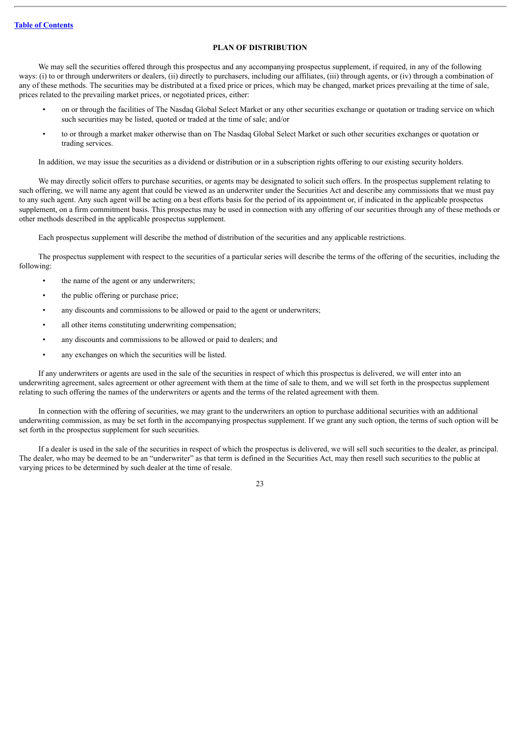# **PLAN OF DISTRIBUTION**

<span id="page-45-0"></span>We may sell the securities offered through this prospectus and any accompanying prospectus supplement, if required, in any of the following ways: (i) to or through underwriters or dealers, (ii) directly to purchasers, including our affiliates, (iii) through agents, or (iv) through a combination of any of these methods. The securities may be distributed at a fixed price or prices, which may be changed, market prices prevailing at the time of sale, prices related to the prevailing market prices, or negotiated prices, either:

- on or through the facilities of The Nasdaq Global Select Market or any other securities exchange or quotation or trading service on which such securities may be listed, quoted or traded at the time of sale; and/or
- to or through a market maker otherwise than on The Nasdaq Global Select Market or such other securities exchanges or quotation or trading services.

In addition, we may issue the securities as a dividend or distribution or in a subscription rights offering to our existing security holders.

We may directly solicit offers to purchase securities, or agents may be designated to solicit such offers. In the prospectus supplement relating to such offering, we will name any agent that could be viewed as an underwriter under the Securities Act and describe any commissions that we must pay to any such agent. Any such agent will be acting on a best efforts basis for the period of its appointment or, if indicated in the applicable prospectus supplement, on a firm commitment basis. This prospectus may be used in connection with any offering of our securities through any of these methods or other methods described in the applicable prospectus supplement.

Each prospectus supplement will describe the method of distribution of the securities and any applicable restrictions.

The prospectus supplement with respect to the securities of a particular series will describe the terms of the offering of the securities, including the following:

- the name of the agent or any underwriters;
- the public offering or purchase price;
- any discounts and commissions to be allowed or paid to the agent or underwriters;
- all other items constituting underwriting compensation;
- any discounts and commissions to be allowed or paid to dealers; and
- any exchanges on which the securities will be listed.

If any underwriters or agents are used in the sale of the securities in respect of which this prospectus is delivered, we will enter into an underwriting agreement, sales agreement or other agreement with them at the time of sale to them, and we will set forth in the prospectus supplement relating to such offering the names of the underwriters or agents and the terms of the related agreement with them.

In connection with the offering of securities, we may grant to the underwriters an option to purchase additional securities with an additional underwriting commission, as may be set forth in the accompanying prospectus supplement. If we grant any such option, the terms of such option will be set forth in the prospectus supplement for such securities.

If a dealer is used in the sale of the securities in respect of which the prospectus is delivered, we will sell such securities to the dealer, as principal. The dealer, who may be deemed to be an "underwriter" as that term is defined in the Securities Act, may then resell such securities to the public at varying prices to be determined by such dealer at the time of resale.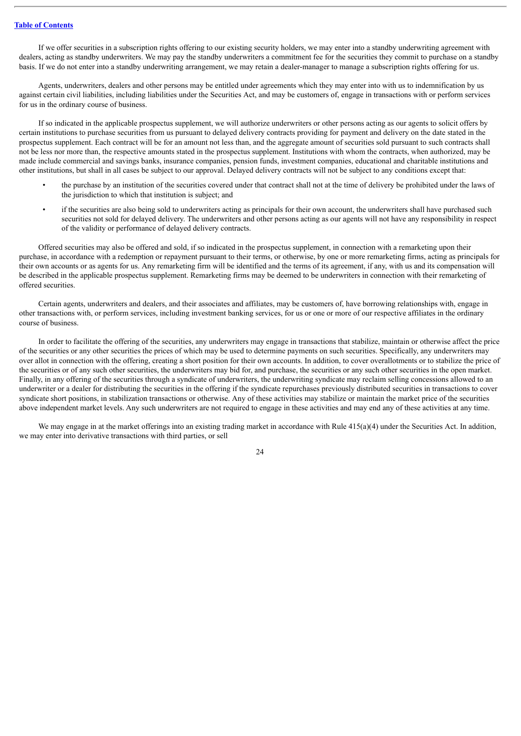If we offer securities in a subscription rights offering to our existing security holders, we may enter into a standby underwriting agreement with dealers, acting as standby underwriters. We may pay the standby underwriters a commitment fee for the securities they commit to purchase on a standby basis. If we do not enter into a standby underwriting arrangement, we may retain a dealer-manager to manage a subscription rights offering for us.

Agents, underwriters, dealers and other persons may be entitled under agreements which they may enter into with us to indemnification by us against certain civil liabilities, including liabilities under the Securities Act, and may be customers of, engage in transactions with or perform services for us in the ordinary course of business.

If so indicated in the applicable prospectus supplement, we will authorize underwriters or other persons acting as our agents to solicit offers by certain institutions to purchase securities from us pursuant to delayed delivery contracts providing for payment and delivery on the date stated in the prospectus supplement. Each contract will be for an amount not less than, and the aggregate amount of securities sold pursuant to such contracts shall not be less nor more than, the respective amounts stated in the prospectus supplement. Institutions with whom the contracts, when authorized, may be made include commercial and savings banks, insurance companies, pension funds, investment companies, educational and charitable institutions and other institutions, but shall in all cases be subject to our approval. Delayed delivery contracts will not be subject to any conditions except that:

- the purchase by an institution of the securities covered under that contract shall not at the time of delivery be prohibited under the laws of the jurisdiction to which that institution is subject; and
- if the securities are also being sold to underwriters acting as principals for their own account, the underwriters shall have purchased such securities not sold for delayed delivery. The underwriters and other persons acting as our agents will not have any responsibility in respect of the validity or performance of delayed delivery contracts.

Offered securities may also be offered and sold, if so indicated in the prospectus supplement, in connection with a remarketing upon their purchase, in accordance with a redemption or repayment pursuant to their terms, or otherwise, by one or more remarketing firms, acting as principals for their own accounts or as agents for us. Any remarketing firm will be identified and the terms of its agreement, if any, with us and its compensation will be described in the applicable prospectus supplement. Remarketing firms may be deemed to be underwriters in connection with their remarketing of offered securities.

Certain agents, underwriters and dealers, and their associates and affiliates, may be customers of, have borrowing relationships with, engage in other transactions with, or perform services, including investment banking services, for us or one or more of our respective affiliates in the ordinary course of business.

In order to facilitate the offering of the securities, any underwriters may engage in transactions that stabilize, maintain or otherwise affect the price of the securities or any other securities the prices of which may be used to determine payments on such securities. Specifically, any underwriters may over allot in connection with the offering, creating a short position for their own accounts. In addition, to cover overallotments or to stabilize the price of the securities or of any such other securities, the underwriters may bid for, and purchase, the securities or any such other securities in the open market. Finally, in any offering of the securities through a syndicate of underwriters, the underwriting syndicate may reclaim selling concessions allowed to an underwriter or a dealer for distributing the securities in the offering if the syndicate repurchases previously distributed securities in transactions to cover syndicate short positions, in stabilization transactions or otherwise. Any of these activities may stabilize or maintain the market price of the securities above independent market levels. Any such underwriters are not required to engage in these activities and may end any of these activities at any time.

We may engage in at the market offerings into an existing trading market in accordance with Rule 415(a)(4) under the Securities Act. In addition, we may enter into derivative transactions with third parties, or sell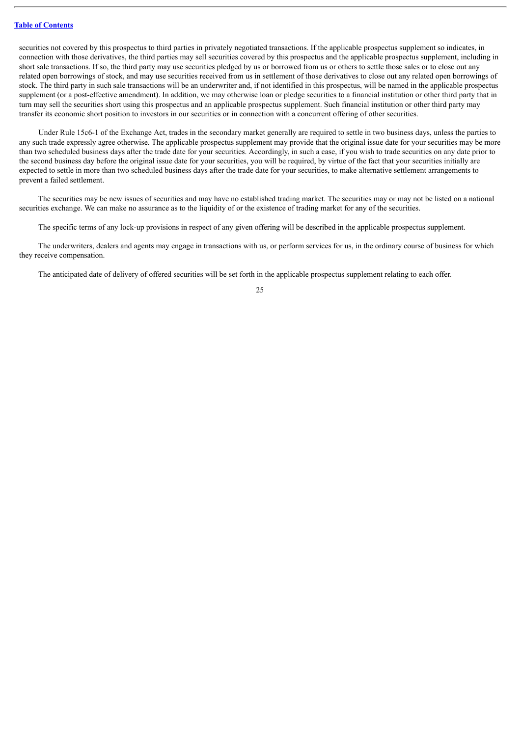securities not covered by this prospectus to third parties in privately negotiated transactions. If the applicable prospectus supplement so indicates, in connection with those derivatives, the third parties may sell securities covered by this prospectus and the applicable prospectus supplement, including in short sale transactions. If so, the third party may use securities pledged by us or borrowed from us or others to settle those sales or to close out any related open borrowings of stock, and may use securities received from us in settlement of those derivatives to close out any related open borrowings of stock. The third party in such sale transactions will be an underwriter and, if not identified in this prospectus, will be named in the applicable prospectus supplement (or a post-effective amendment). In addition, we may otherwise loan or pledge securities to a financial institution or other third party that in turn may sell the securities short using this prospectus and an applicable prospectus supplement. Such financial institution or other third party may transfer its economic short position to investors in our securities or in connection with a concurrent offering of other securities.

Under Rule 15c6-1 of the Exchange Act, trades in the secondary market generally are required to settle in two business days, unless the parties to any such trade expressly agree otherwise. The applicable prospectus supplement may provide that the original issue date for your securities may be more than two scheduled business days after the trade date for your securities. Accordingly, in such a case, if you wish to trade securities on any date prior to the second business day before the original issue date for your securities, you will be required, by virtue of the fact that your securities initially are expected to settle in more than two scheduled business days after the trade date for your securities, to make alternative settlement arrangements to prevent a failed settlement.

The securities may be new issues of securities and may have no established trading market. The securities may or may not be listed on a national securities exchange. We can make no assurance as to the liquidity of or the existence of trading market for any of the securities.

The specific terms of any lock-up provisions in respect of any given offering will be described in the applicable prospectus supplement.

The underwriters, dealers and agents may engage in transactions with us, or perform services for us, in the ordinary course of business for which they receive compensation.

The anticipated date of delivery of offered securities will be set forth in the applicable prospectus supplement relating to each offer.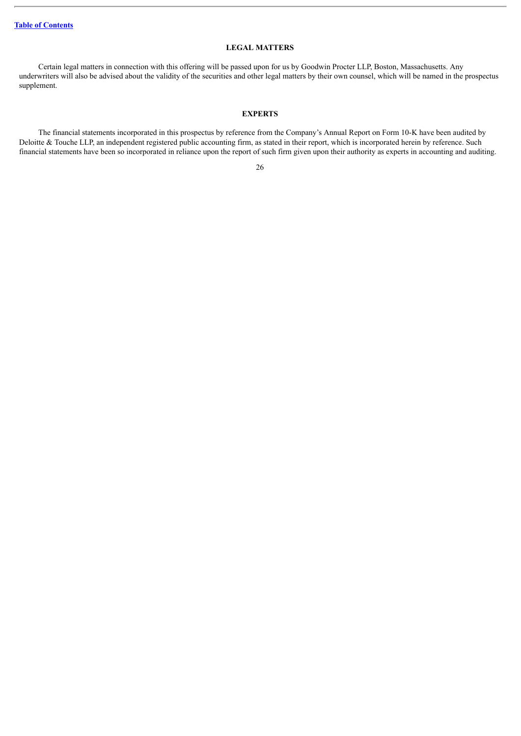# **LEGAL MATTERS**

<span id="page-48-0"></span>Certain legal matters in connection with this offering will be passed upon for us by Goodwin Procter LLP, Boston, Massachusetts. Any underwriters will also be advised about the validity of the securities and other legal matters by their own counsel, which will be named in the prospectus supplement.

# **EXPERTS**

<span id="page-48-1"></span>The financial statements incorporated in this prospectus by reference from the Company's Annual Report on Form 10-K have been audited by Deloitte & Touche LLP, an independent registered public accounting firm, as stated in their report, which is incorporated herein by reference. Such financial statements have been so incorporated in reliance upon the report of such firm given upon their authority as experts in accounting and auditing.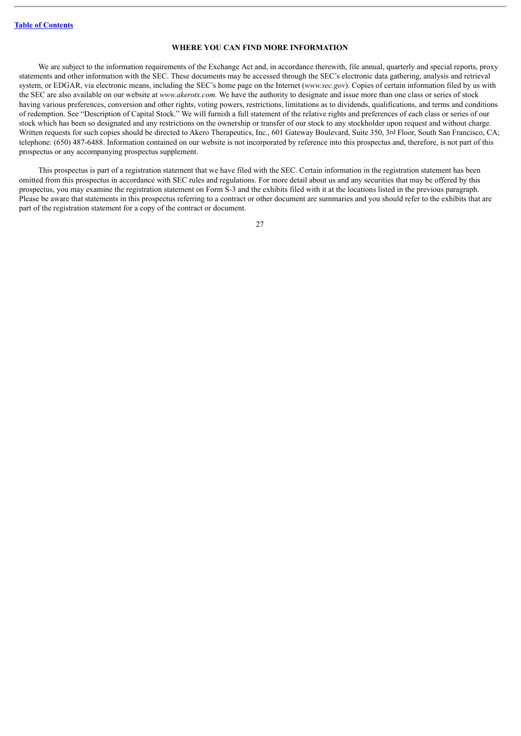# **WHERE YOU CAN FIND MORE INFORMATION**

<span id="page-49-0"></span>We are subject to the information requirements of the Exchange Act and, in accordance therewith, file annual, quarterly and special reports, proxy statements and other information with the SEC. These documents may be accessed through the SEC's electronic data gathering, analysis and retrieval system, or EDGAR, via electronic means, including the SEC's home page on the Internet (*www.sec.gov*). Copies of certain information filed by us with the SEC are also available on our website at *www.akerotx.com.* We have the authority to designate and issue more than one class or series of stock having various preferences, conversion and other rights, voting powers, restrictions, limitations as to dividends, qualifications, and terms and conditions of redemption. See "Description of Capital Stock." We will furnish a full statement of the relative rights and preferences of each class or series of our stock which has been so designated and any restrictions on the ownership or transfer of our stock to any stockholder upon request and without charge. Written requests for such copies should be directed to Akero Therapeutics, Inc., 601 Gateway Boulevard, Suite 350, 3rd Floor, South San Francisco, CA; telephone: (650) 487-6488. Information contained on our website is not incorporated by reference into this prospectus and, therefore, is not part of this prospectus or any accompanying prospectus supplement.

This prospectus is part of a registration statement that we have filed with the SEC. Certain information in the registration statement has been omitted from this prospectus in accordance with SEC rules and regulations. For more detail about us and any securities that may be offered by this prospectus, you may examine the registration statement on Form S-3 and the exhibits filed with it at the locations listed in the previous paragraph. Please be aware that statements in this prospectus referring to a contract or other document are summaries and you should refer to the exhibits that are part of the registration statement for a copy of the contract or document.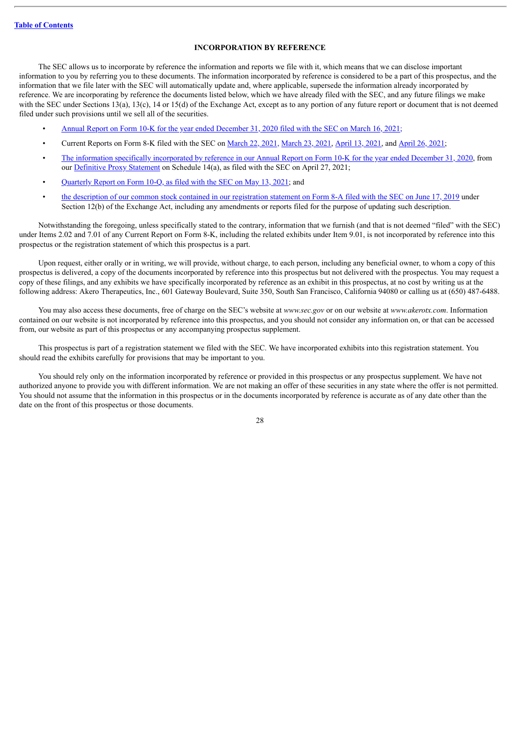# **INCORPORATION BY REFERENCE**

<span id="page-50-0"></span>The SEC allows us to incorporate by reference the information and reports we file with it, which means that we can disclose important information to you by referring you to these documents. The information incorporated by reference is considered to be a part of this prospectus, and the information that we file later with the SEC will automatically update and, where applicable, supersede the information already incorporated by reference. We are incorporating by reference the documents listed below, which we have already filed with the SEC, and any future filings we make with the SEC under Sections 13(a), 13(c), 14 or 15(d) of the Exchange Act, except as to any portion of any future report or document that is not deemed filed under such provisions until we sell all of the securities.

- Annual Report on Form 10-K for the year ended [December](http://www.sec.gov/Archives/edgar/data/1744659/000155837021003043/akro-20201231x10k.htm) 31, 2020 filed with the SEC on March 16, 2021;
- Current Reports on Form 8-K filed with the SEC on [March](http://www.sec.gov/Archives/edgar/data/1744659/000110465921040030/tm219778d3_8k.htm) 22, 2021, March 23, 2021, [April](http://www.sec.gov/Archives/edgar/data/1744659/000110465921054706/tm2113974d1_8k.htm) 13, 2021, and April 26, 2021;
- The information specifically [incorporated](http://www.sec.gov/Archives/edgar/data/1744659/000155837021003043/akro-20201231x10k.htm) by reference in our Annual Report on Form 10-K for the year ended December 31, 2020, from our [Definitive](http://www.sec.gov/Archives/edgar/data/1744659/000110465921055613/tm212663-1_def14a.htm) Proxy Statement on Schedule 14(a), as filed with the SEC on April 27, 2021;
- [Quarterly](http://www.sec.gov/Archives/edgar/data/1744659/000155837021006992/akro-20210331x10q.htm) Report on Form 10-Q, as filed with the SEC on May 13, 2021; and
- the description of our common stock contained in our [registration](http://www.sec.gov/Archives/edgar/data/1744659/000110465919035945/a18-41952_78a12b.htm) statement on Form 8-A filed with the SEC on June 17, 2019 under Section 12(b) of the Exchange Act, including any amendments or reports filed for the purpose of updating such description.

Notwithstanding the foregoing, unless specifically stated to the contrary, information that we furnish (and that is not deemed "filed" with the SEC) under Items 2.02 and 7.01 of any Current Report on Form 8-K, including the related exhibits under Item 9.01, is not incorporated by reference into this prospectus or the registration statement of which this prospectus is a part.

Upon request, either orally or in writing, we will provide, without charge, to each person, including any beneficial owner, to whom a copy of this prospectus is delivered, a copy of the documents incorporated by reference into this prospectus but not delivered with the prospectus. You may request a copy of these filings, and any exhibits we have specifically incorporated by reference as an exhibit in this prospectus, at no cost by writing us at the following address: Akero Therapeutics, Inc., 601 Gateway Boulevard, Suite 350, South San Francisco, California 94080 or calling us at (650) 487-6488.

You may also access these documents, free of charge on the SEC's website at *www.sec.gov* or on our website at *www.akerotx.com*. Information contained on our website is not incorporated by reference into this prospectus, and you should not consider any information on, or that can be accessed from, our website as part of this prospectus or any accompanying prospectus supplement.

This prospectus is part of a registration statement we filed with the SEC. We have incorporated exhibits into this registration statement. You should read the exhibits carefully for provisions that may be important to you.

You should rely only on the information incorporated by reference or provided in this prospectus or any prospectus supplement. We have not authorized anyone to provide you with different information. We are not making an offer of these securities in any state where the offer is not permitted. You should not assume that the information in this prospectus or in the documents incorporated by reference is accurate as of any date other than the date on the front of this prospectus or those documents.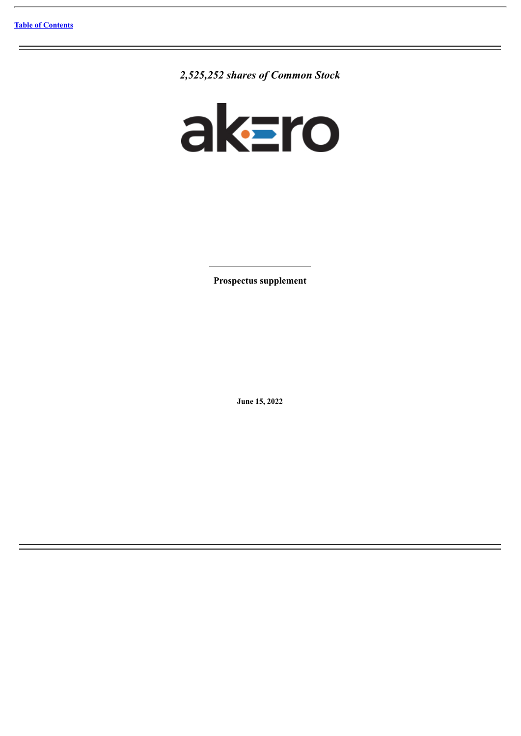*2,525,252 shares of Common Stock*



**Prospectus supplement**

**June 15, 2022**